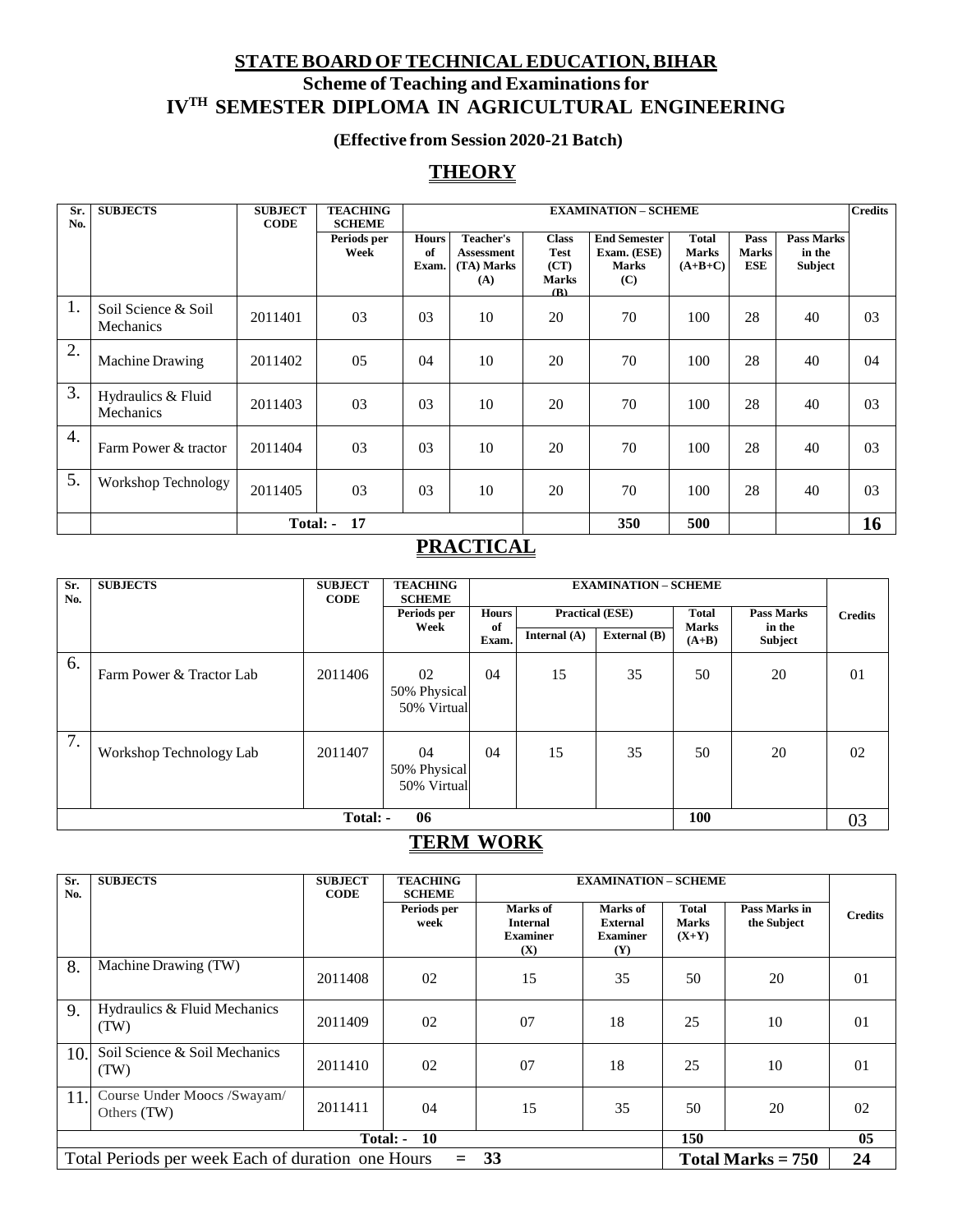## **STATEBOARD OFTECHNICALEDUCATION,BIHAR Scheme of Teaching and Examinationsfor IVTH SEMESTER DIPLOMA IN AGRICULTURAL ENGINEERING**

## **(Effective from Session 2020-21 Batch)**

## **THEORY**

| Sr.<br>No. | <b>SUBJECTS</b>                         | <b>SUBJECT</b><br><b>CODE</b> | <b>TEACHING</b><br><b>SCHEME</b> |                             | <b>EXAMINATION - SCHEME</b>                         |                                                            |                                                           |                                    |                                    |                                        | <b>Credits</b> |
|------------|-----------------------------------------|-------------------------------|----------------------------------|-----------------------------|-----------------------------------------------------|------------------------------------------------------------|-----------------------------------------------------------|------------------------------------|------------------------------------|----------------------------------------|----------------|
|            |                                         |                               | Periods per<br>Week              | <b>Hours</b><br>of<br>Exam. | Teacher's<br><b>Assessment</b><br>(TA) Marks<br>(A) | <b>Class</b><br><b>Test</b><br>(CT)<br><b>Marks</b><br>(R) | <b>End Semester</b><br>Exam. (ESE)<br><b>Marks</b><br>(C) | Total<br><b>Marks</b><br>$(A+B+C)$ | Pass<br><b>Marks</b><br><b>ESE</b> | <b>Pass Marks</b><br>in the<br>Subject |                |
| 1.         | Soil Science & Soil<br><b>Mechanics</b> | 2011401                       | 03                               | 0 <sub>3</sub>              | 10                                                  | 20                                                         | 70                                                        | 100                                | 28                                 | 40                                     | 03             |
| 2.         | <b>Machine Drawing</b>                  | 2011402                       | 05                               | 04                          | 10                                                  | 20                                                         | 70                                                        | 100                                | 28                                 | 40                                     | 04             |
| 3.         | Hydraulics & Fluid<br>Mechanics         | 2011403                       | 03                               | 0 <sub>3</sub>              | 10                                                  | 20                                                         | 70                                                        | 100                                | 28                                 | 40                                     | 03             |
| 4.         | Farm Power & tractor                    | 2011404                       | 03                               | 0 <sub>3</sub>              | 10                                                  | 20                                                         | 70                                                        | 100                                | 28                                 | 40                                     | 03             |
| 5.         | Workshop Technology                     | 2011405                       | 03                               | 0 <sub>3</sub>              | 10                                                  | 20                                                         | 70                                                        | 100                                | 28                                 | 40                                     | 03             |
|            |                                         |                               | <b>Total: - 17</b>               |                             |                                                     |                                                            | 350                                                       | 500                                |                                    |                                        | 16             |

## **PRACTICAL**

| Sr.<br>No. | <b>SUBJECTS</b>          | <b>SUBJECT</b><br><b>CODE</b> | <b>TEACHING</b><br><b>SCHEME</b>  |                                        | <b>EXAMINATION - SCHEME</b> |              |                                   |                          |                |
|------------|--------------------------|-------------------------------|-----------------------------------|----------------------------------------|-----------------------------|--------------|-----------------------------------|--------------------------|----------------|
|            |                          | Periods per                   |                                   | <b>Hours</b><br><b>Practical (ESE)</b> |                             |              | <b>Total</b><br><b>Pass Marks</b> |                          | <b>Credits</b> |
|            |                          |                               | Week                              | of<br>Exam.                            | Internal $(A)$              | External (B) | <b>Marks</b><br>$(A+B)$           | in the<br><b>Subject</b> |                |
| 6.         | Farm Power & Tractor Lab | 2011406                       | 02<br>50% Physical<br>50% Virtual | 04                                     | 15                          | 35           | 50                                | 20                       | 01             |
| 7.         | Workshop Technology Lab  | 2011407                       | 04<br>50% Physical<br>50% Virtual | 04                                     | 15                          | 35           | 50                                | 20                       | 02             |
|            | 06<br>100<br>Total: -    |                               |                                   |                                        |                             |              |                                   |                          | 03             |

## **TERM WORK**

| Sr.<br>No.            | <b>SUBJECTS</b>                                                                    | <b>SUBJECT</b><br><b>CODE</b> | <b>TEACHING</b><br><b>SCHEME</b> |                                                       | <b>EXAMINATION - SCHEME</b>                           |                                  |                              |                |  |
|-----------------------|------------------------------------------------------------------------------------|-------------------------------|----------------------------------|-------------------------------------------------------|-------------------------------------------------------|----------------------------------|------------------------------|----------------|--|
|                       |                                                                                    |                               | Periods per<br>week              | Marks of<br><b>Internal</b><br><b>Examiner</b><br>(X) | Marks of<br><b>External</b><br><b>Examiner</b><br>(Y) | Total<br><b>Marks</b><br>$(X+Y)$ | Pass Marks in<br>the Subject | <b>Credits</b> |  |
| 8.                    | Machine Drawing (TW)                                                               | 2011408                       | 02                               | 15                                                    | 35                                                    | 50                               | 20                           | 01             |  |
| 9.                    | Hydraulics & Fluid Mechanics<br>(TW)                                               | 2011409                       | 02                               | 07                                                    | 18                                                    | 25                               | 10                           | 01             |  |
| 10.                   | Soil Science & Soil Mechanics<br>(TW)                                              | 2011410                       | 02                               | 07                                                    | 18                                                    | 25                               | 10                           | 0 <sub>1</sub> |  |
| 11.                   | Course Under Moocs /Swayam/<br>Others (TW)                                         | 2011411                       | 04                               | 15                                                    | 35                                                    | 50                               | 20                           | 02             |  |
| 10<br>150<br>Total: - |                                                                                    |                               |                                  |                                                       |                                                       |                                  | 05                           |                |  |
|                       | Total Periods per week Each of duration one Hours<br>$= 33$<br>Total Marks $= 750$ |                               |                                  |                                                       |                                                       |                                  | 24                           |                |  |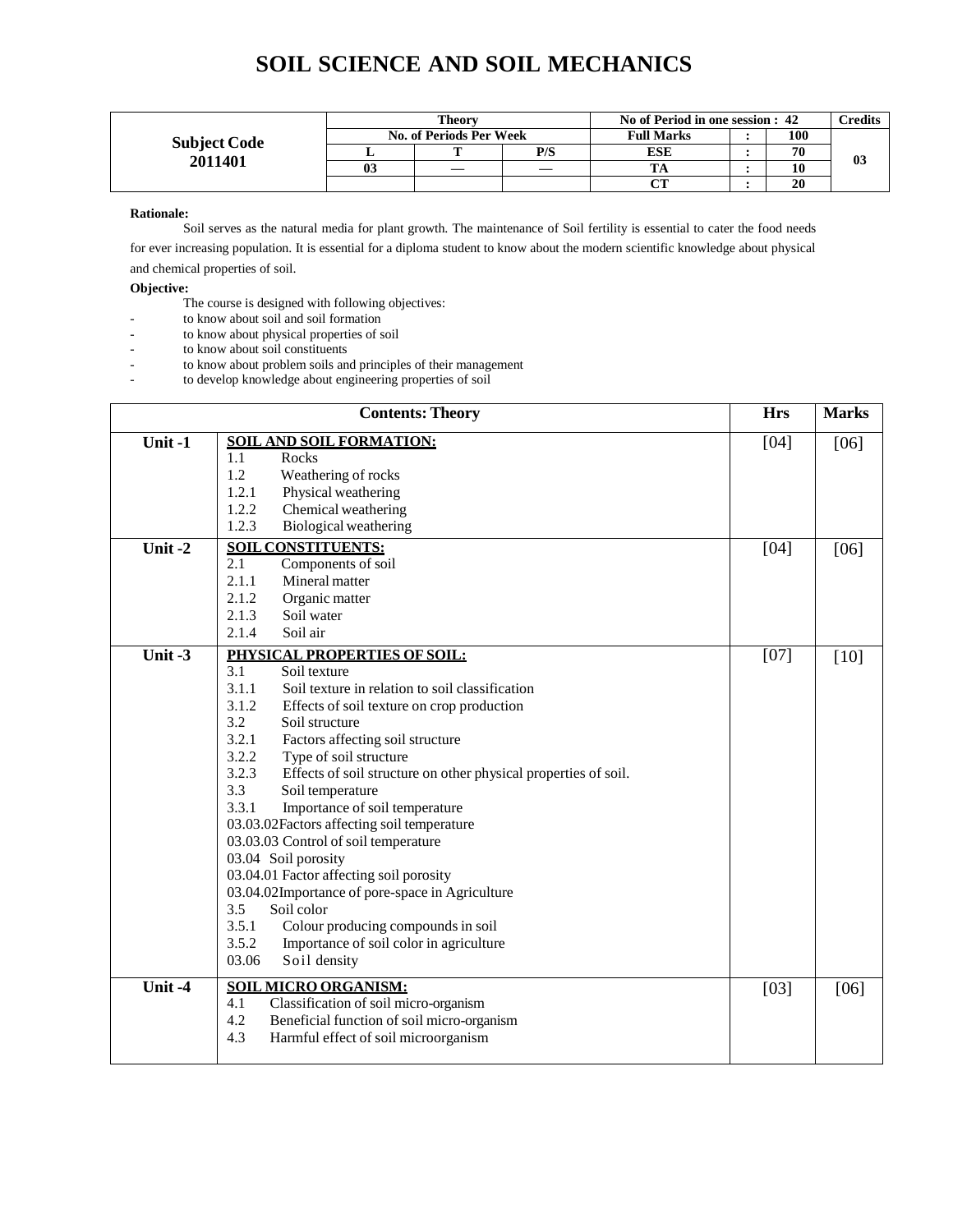|                     |    | Theorv                  |     | No of Period in one session : 42 | `redits |    |
|---------------------|----|-------------------------|-----|----------------------------------|---------|----|
| <b>Subject Code</b> |    | No. of Periods Per Week |     | <b>Full Marks</b>                | 100     |    |
| 2011401             |    |                         | P/S | ESE                              | 70      |    |
|                     | 03 |                         |     |                                  |         | VJ |
|                     |    |                         |     | $\alpha$                         | 20      |    |

#### **Rationale:**

Soil serves as the natural media for plant growth. The maintenance of Soil fertility is essential to cater the food needs

for ever increasing population. It is essential for a diploma student to know about the modern scientific knowledge about physical and chemical properties of soil.

#### **Objective:**

- The course is designed with following objectives:
- to know about soil and soil formation
- to know about physical properties of soil
- to know about soil constituents
- to know about problem soils and principles of their management
- to develop knowledge about engineering properties of soil

|        | <b>Contents: Theory</b>                                                                                                                                                                                                                                                                                                                                                                                                                                                                                                                                                                                                                                                                                                                                                                       | <b>Hrs</b> | <b>Marks</b> |
|--------|-----------------------------------------------------------------------------------------------------------------------------------------------------------------------------------------------------------------------------------------------------------------------------------------------------------------------------------------------------------------------------------------------------------------------------------------------------------------------------------------------------------------------------------------------------------------------------------------------------------------------------------------------------------------------------------------------------------------------------------------------------------------------------------------------|------------|--------------|
| Unit-1 | <b>SOIL AND SOIL FORMATION:</b><br>Rocks<br>1.1<br>1.2<br>Weathering of rocks<br>Physical weathering<br>1.2.1<br>1.2.2<br>Chemical weathering<br>1.2.3<br>Biological weathering                                                                                                                                                                                                                                                                                                                                                                                                                                                                                                                                                                                                               | $[04]$     | [06]         |
| Unit-2 | <b>SOIL CONSTITUENTS:</b><br>2.1<br>Components of soil<br>2.1.1<br>Mineral matter<br>2.1.2<br>Organic matter<br>2.1.3<br>Soil water<br>2.1.4<br>Soil air                                                                                                                                                                                                                                                                                                                                                                                                                                                                                                                                                                                                                                      | [04]       | [06]         |
| Unit-3 | PHYSICAL PROPERTIES OF SOIL:<br>3.1<br>Soil texture<br>3.1.1<br>Soil texture in relation to soil classification<br>3.1.2<br>Effects of soil texture on crop production<br>3.2<br>Soil structure<br>3.2.1<br>Factors affecting soil structure<br>3.2.2<br>Type of soil structure<br>3.2.3<br>Effects of soil structure on other physical properties of soil.<br>3.3<br>Soil temperature<br>3.3.1<br>Importance of soil temperature<br>03.03.02Factors affecting soil temperature<br>03.03.03 Control of soil temperature<br>03.04 Soil porosity<br>03.04.01 Factor affecting soil porosity<br>03.04.02Importance of pore-space in Agriculture<br>3.5<br>Soil color<br>3.5.1<br>Colour producing compounds in soil<br>3.5.2<br>Importance of soil color in agriculture<br>03.06<br>Soil density | $[07]$     | [10]         |
| Unit-4 | <b>SOIL MICRO ORGANISM:</b><br>Classification of soil micro-organism<br>4.1<br>4.2<br>Beneficial function of soil micro-organism<br>4.3<br>Harmful effect of soil microorganism                                                                                                                                                                                                                                                                                                                                                                                                                                                                                                                                                                                                               | [03]       | [06]         |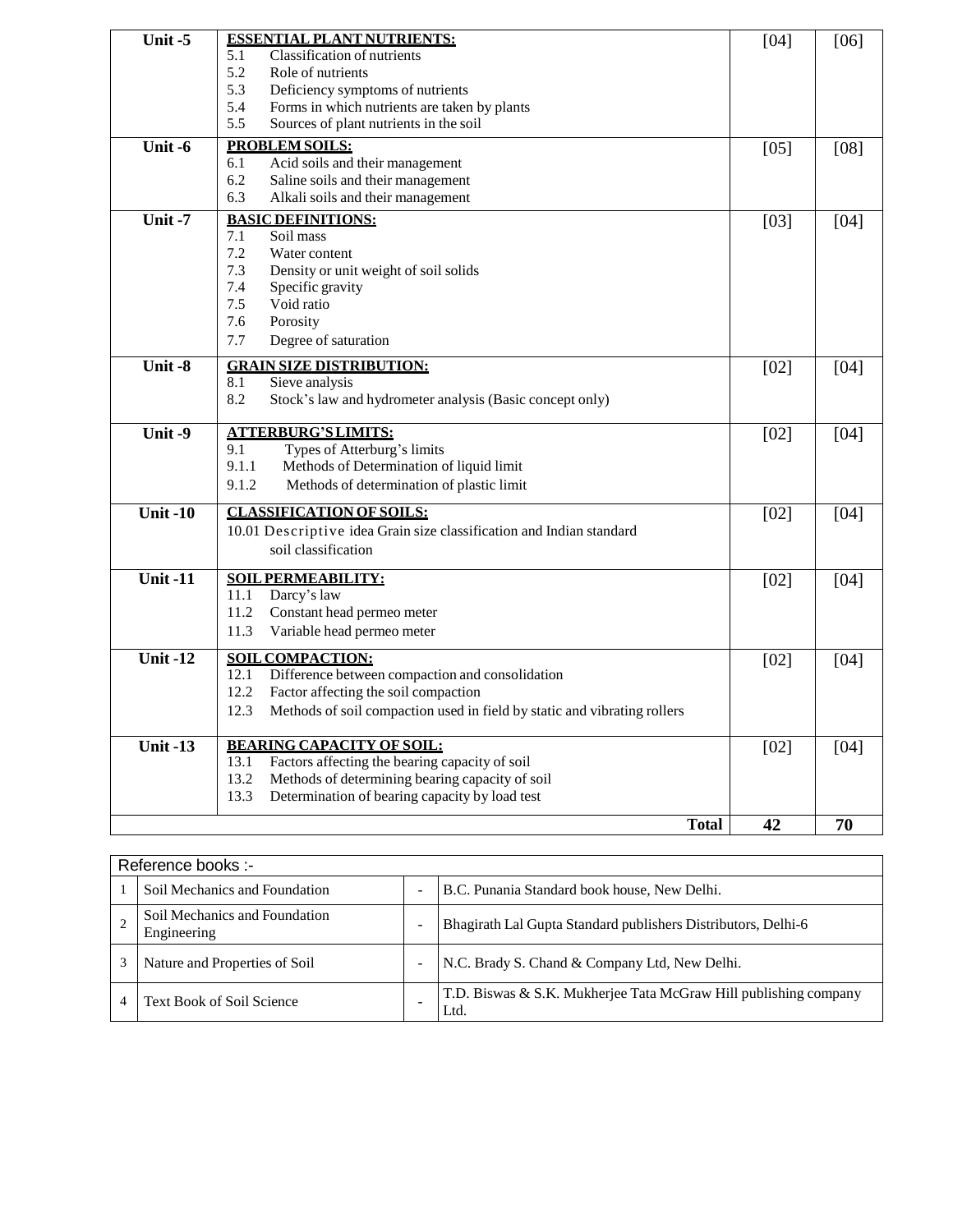| Unit $-5$  | <b>ESSENTIAL PLANT NUTRIENTS:</b>                                                | $[04]$ | $[06]$ |
|------------|----------------------------------------------------------------------------------|--------|--------|
|            | Classification of nutrients<br>5.1                                               |        |        |
|            | Role of nutrients<br>5.2                                                         |        |        |
|            | 5.3<br>Deficiency symptoms of nutrients                                          |        |        |
|            | 5.4<br>Forms in which nutrients are taken by plants                              |        |        |
|            | 5.5<br>Sources of plant nutrients in the soil                                    |        |        |
| Unit $-6$  | <b>PROBLEM SOILS:</b>                                                            | $[05]$ | $[08]$ |
|            | Acid soils and their management<br>6.1                                           |        |        |
|            | 6.2<br>Saline soils and their management                                         |        |        |
|            | 6.3<br>Alkali soils and their management                                         |        |        |
| Unit $-7$  | <b>BASIC DEFINITIONS:</b>                                                        | $[03]$ | [04]   |
|            | Soil mass<br>7.1                                                                 |        |        |
|            | 7.2<br>Water content                                                             |        |        |
|            | 7.3<br>Density or unit weight of soil solids                                     |        |        |
|            | 7.4<br>Specific gravity                                                          |        |        |
|            | Void ratio<br>7.5                                                                |        |        |
|            | 7.6<br>Porosity                                                                  |        |        |
|            | 7.7<br>Degree of saturation                                                      |        |        |
| Unit $-8$  | <b>GRAIN SIZE DISTRIBUTION:</b>                                                  | [02]   | $[04]$ |
|            | Sieve analysis<br>8.1                                                            |        |        |
|            | 8.2<br>Stock's law and hydrometer analysis (Basic concept only)                  |        |        |
|            |                                                                                  |        |        |
| Unit-9     | <b>ATTERBURG'S LIMITS:</b>                                                       | $[02]$ | $[04]$ |
|            | 9.1<br>Types of Atterburg's limits                                               |        |        |
|            | 9.1.1<br>Methods of Determination of liquid limit                                |        |        |
|            | 9.1.2<br>Methods of determination of plastic limit                               |        |        |
| Unit $-10$ | <b>CLASSIFICATION OF SOILS:</b>                                                  | [02]   | [04]   |
|            | 10.01 Descriptive idea Grain size classification and Indian standard             |        |        |
|            | soil classification                                                              |        |        |
|            |                                                                                  |        |        |
| Unit $-11$ | <b>SOIL PERMEABILITY:</b>                                                        | $[02]$ | [04]   |
|            | 11.1<br>Darcy's law                                                              |        |        |
|            | 11.2<br>Constant head permeo meter                                               |        |        |
|            | 11.3<br>Variable head permeo meter                                               |        |        |
| Unit $-12$ | <b>SOIL COMPACTION:</b>                                                          | $[02]$ | [04]   |
|            | 12.1<br>Difference between compaction and consolidation                          |        |        |
|            | 12.2<br>Factor affecting the soil compaction                                     |        |        |
|            | 12.3<br>Methods of soil compaction used in field by static and vibrating rollers |        |        |
|            |                                                                                  |        |        |
| Unit $-13$ | <b>BEARING CAPACITY OF SOIL:</b>                                                 | $[02]$ | [04]   |
|            | Factors affecting the bearing capacity of soil<br>13.1                           |        |        |
|            | Methods of determining bearing capacity of soil<br>13.2                          |        |        |
|            | Determination of bearing capacity by load test<br>13.3                           |        |        |
|            | <b>Total</b>                                                                     | 42     | 70     |
|            |                                                                                  |        |        |

| Reference books :-                           |   |                                                                          |  |  |  |  |  |  |
|----------------------------------------------|---|--------------------------------------------------------------------------|--|--|--|--|--|--|
| Soil Mechanics and Foundation                |   | B.C. Punania Standard book house, New Delhi.                             |  |  |  |  |  |  |
| Soil Mechanics and Foundation<br>Engineering | ٠ | Bhagirath Lal Gupta Standard publishers Distributors, Delhi-6            |  |  |  |  |  |  |
| Nature and Properties of Soil                |   | N.C. Brady S. Chand & Company Ltd, New Delhi.                            |  |  |  |  |  |  |
| <b>Text Book of Soil Science</b>             |   | T.D. Biswas & S.K. Mukherjee Tata McGraw Hill publishing company<br>Ltd. |  |  |  |  |  |  |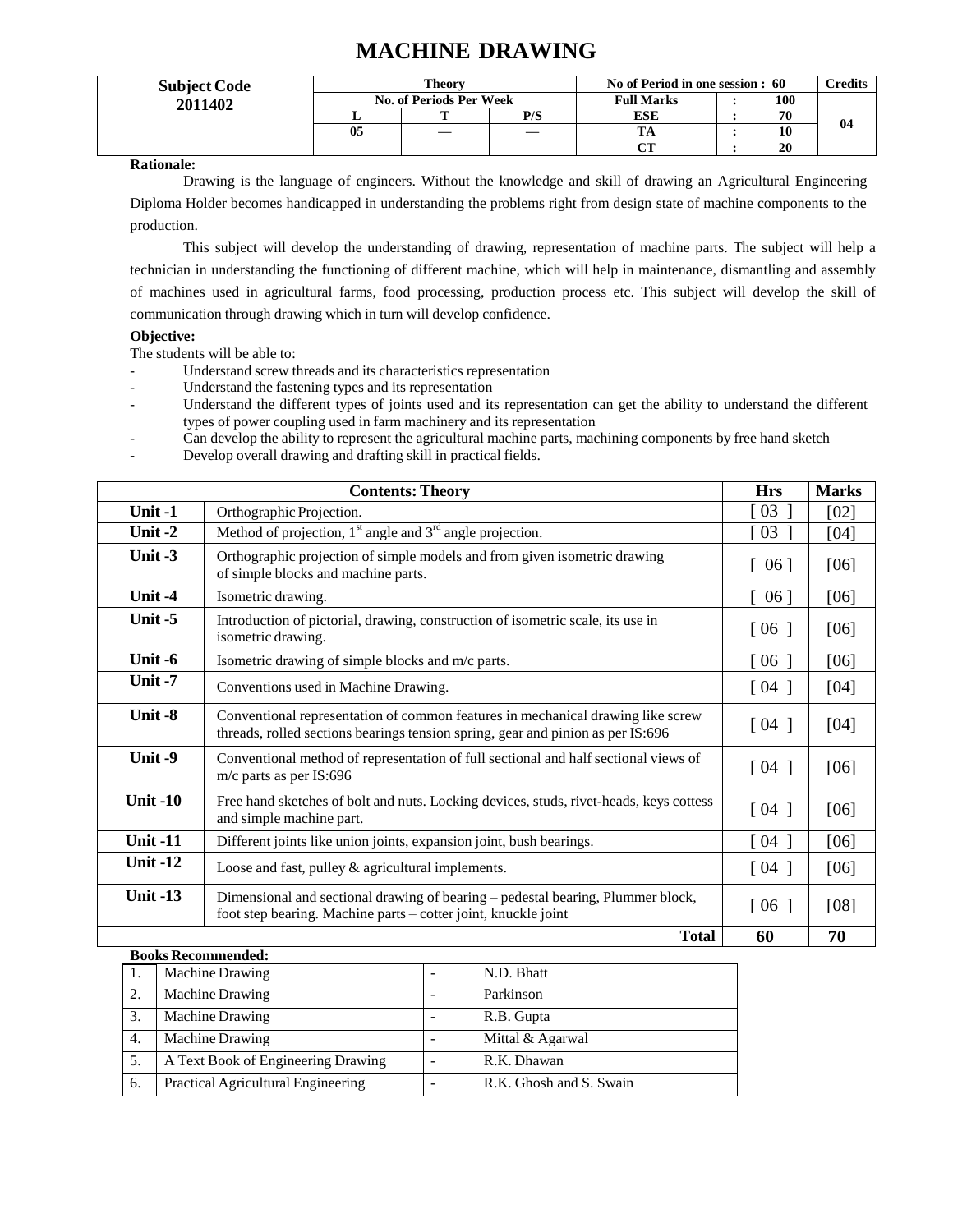# **MACHINE DRAWING**

| <b>Subject Code</b> |    | Theorv                  |     | No of Period in one session : 60 | Credits |    |
|---------------------|----|-------------------------|-----|----------------------------------|---------|----|
| 2011402             |    | No. of Periods Per Week |     | <b>Full Marks</b>                | 100     | 04 |
|                     |    |                         | P/S | <b>ESE</b>                       | 70      |    |
|                     | 05 |                         |     |                                  | 10      |    |
|                     |    |                         |     | nп                               | 20      |    |

**Rationale:**

Drawing is the language of engineers. Without the knowledge and skill of drawing an Agricultural Engineering Diploma Holder becomes handicapped in understanding the problems right from design state of machine components to the production.

This subject will develop the understanding of drawing, representation of machine parts. The subject will help a technician in understanding the functioning of different machine, which will help in maintenance, dismantling and assembly of machines used in agricultural farms, food processing, production process etc. This subject will develop the skill of communication through drawing which in turn will develop confidence.

#### **Objective:**

The students will be able to:

- Understand screw threads and its characteristics representation
- Understand the fastening types and its representation
- Understand the different types of joints used and its representation can get the ability to understand the different types of power coupling used in farm machinery and its representation
- Can develop the ability to represent the agricultural machine parts, machining components by free hand sketch
- Develop overall drawing and drafting skill in practical fields.

|                 | <b>Contents: Theory</b>                                                                                                                                            | <b>Hrs</b>                         | <b>Marks</b> |
|-----------------|--------------------------------------------------------------------------------------------------------------------------------------------------------------------|------------------------------------|--------------|
| Unit-1          | Orthographic Projection.                                                                                                                                           | $\lceil 03 \rceil$                 | [02]         |
| Unit -2         | Method of projection, $1st$ angle and $3rd$ angle projection.                                                                                                      | $\left[0.3\right]$                 | [04]         |
| Unit $-3$       | Orthographic projection of simple models and from given isometric drawing<br>of simple blocks and machine parts.                                                   | $\begin{bmatrix} 06 \end{bmatrix}$ | [06]         |
| Unit -4         | Isometric drawing.                                                                                                                                                 | $\lceil 06 \rceil$                 | [06]         |
| Unit $-5$       | Introduction of pictorial, drawing, construction of isometric scale, its use in<br>isometric drawing.                                                              | $\lceil 06 \rceil$                 | [06]         |
| Unit -6         | Isometric drawing of simple blocks and m/c parts.                                                                                                                  | $\lceil 06 \rceil$                 | [06]         |
| Unit $-7$       | Conventions used in Machine Drawing.                                                                                                                               | $\lceil 04 \rceil$                 | [04]         |
| Unit -8         | Conventional representation of common features in mechanical drawing like screw<br>threads, rolled sections bearings tension spring, gear and pinion as per IS:696 | $\lceil 04 \rceil$                 | [04]         |
| Unit -9         | Conventional method of representation of full sectional and half sectional views of<br>m/c parts as per IS:696                                                     | $\lceil 04 \rceil$                 | [06]         |
| <b>Unit -10</b> | Free hand sketches of bolt and nuts. Locking devices, studs, rivet-heads, keys cottess<br>and simple machine part.                                                 | $\lceil 04 \rceil$                 | [06]         |
| <b>Unit -11</b> | Different joints like union joints, expansion joint, bush bearings.                                                                                                | $\lceil 04 \rceil$                 | [06]         |
| <b>Unit -12</b> | Loose and fast, pulley & agricultural implements.                                                                                                                  | $\lceil 04 \rceil$                 | [06]         |
| Unit $-13$      | Dimensional and sectional drawing of bearing – pedestal bearing, Plummer block,<br>foot step bearing. Machine parts - cotter joint, knuckle joint                  | $\lceil 06 \rceil$                 | [08]         |
|                 | <b>Total</b>                                                                                                                                                       | 60                                 | 70           |

|    | <b>Machine Drawing</b>             | N.D. Bhatt              |
|----|------------------------------------|-------------------------|
| 2. | <b>Machine Drawing</b>             | Parkinson               |
| 3. | <b>Machine Drawing</b>             | R.B. Gupta              |
| 4. | <b>Machine Drawing</b>             | Mittal & Agarwal        |
|    | A Text Book of Engineering Drawing | R.K. Dhawan             |
| 6. | Practical Agricultural Engineering | R.K. Ghosh and S. Swain |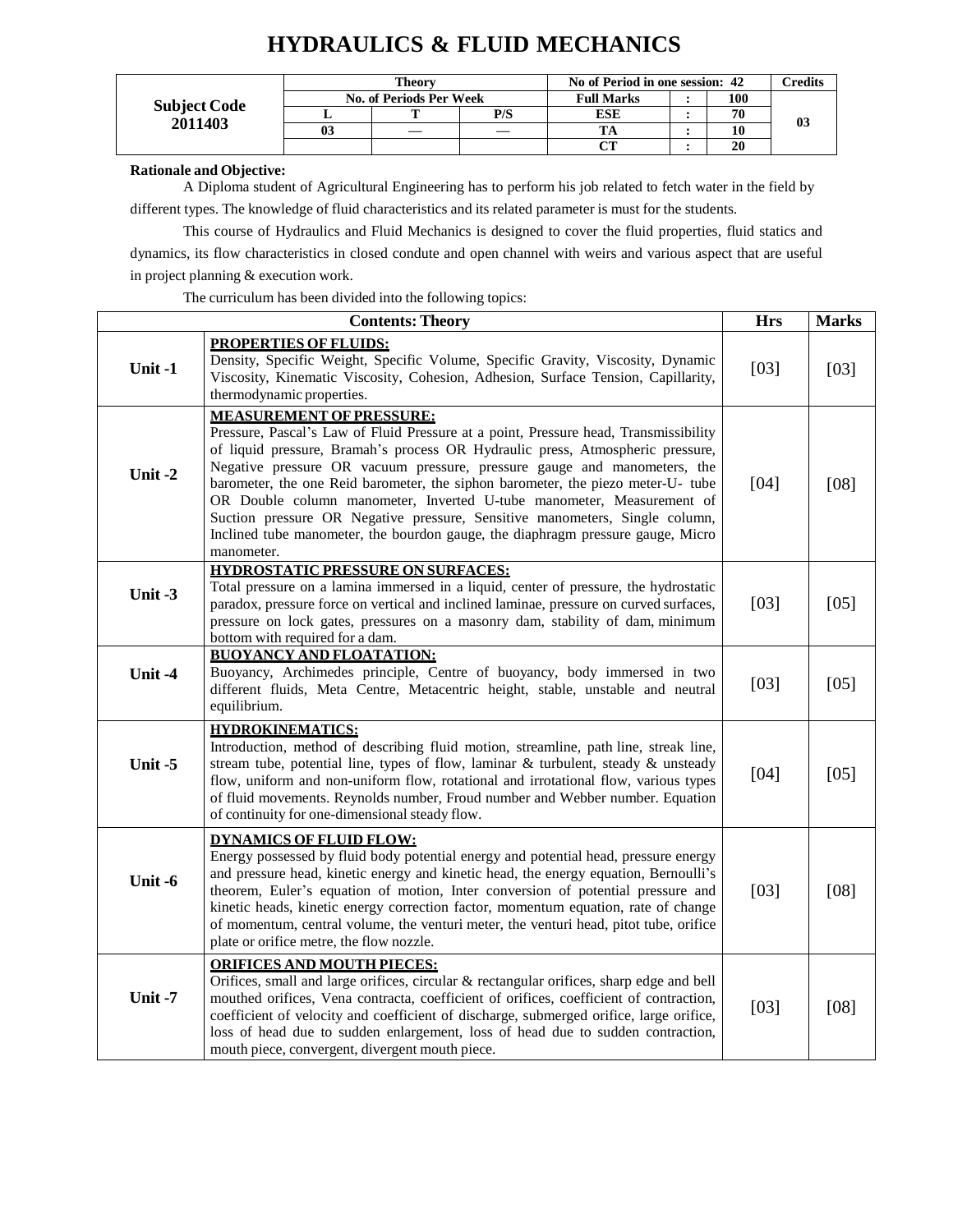# **HYDRAULICS & FLUID MECHANICS**

|                     |    | Theorv                  |                   | No of Period in one session: 42 | Credits |    |  |  |
|---------------------|----|-------------------------|-------------------|---------------------------------|---------|----|--|--|
| <b>Subject Code</b> |    | No. of Periods Per Week | <b>Full Marks</b> | 100                             |         |    |  |  |
| 2011403             |    |                         | P/S               | <b>ESE</b>                      | 70      |    |  |  |
|                     | 03 |                         |                   |                                 |         | 03 |  |  |
|                     |    |                         |                   | $\sim$                          | 20      |    |  |  |

**Rationale and Objective:**

A Diploma student of Agricultural Engineering has to perform his job related to fetch water in the field by different types. The knowledge of fluid characteristics and its related parameter is must for the students.

This course of Hydraulics and Fluid Mechanics is designed to cover the fluid properties, fluid statics and dynamics, its flow characteristics in closed condute and open channel with weirs and various aspect that are useful

in project planning & execution work.

The curriculum has been divided into the following topics:

|         | <b>Contents: Theory</b>                                                                                                                                                                                                                                                                                                                                                                                                                                                                                                                                                                                                            | <b>Hrs</b> | <b>Marks</b> |
|---------|------------------------------------------------------------------------------------------------------------------------------------------------------------------------------------------------------------------------------------------------------------------------------------------------------------------------------------------------------------------------------------------------------------------------------------------------------------------------------------------------------------------------------------------------------------------------------------------------------------------------------------|------------|--------------|
| Unit-1  | <b>PROPERTIES OF FLUIDS:</b><br>Density, Specific Weight, Specific Volume, Specific Gravity, Viscosity, Dynamic<br>Viscosity, Kinematic Viscosity, Cohesion, Adhesion, Surface Tension, Capillarity,<br>thermodynamic properties.                                                                                                                                                                                                                                                                                                                                                                                                  | $[03]$     | $[03]$       |
| Unit-2  | <b>MEASUREMENT OF PRESSURE:</b><br>Pressure, Pascal's Law of Fluid Pressure at a point, Pressure head, Transmissibility<br>of liquid pressure, Bramah's process OR Hydraulic press, Atmospheric pressure,<br>Negative pressure OR vacuum pressure, pressure gauge and manometers, the<br>barometer, the one Reid barometer, the siphon barometer, the piezo meter-U- tube<br>OR Double column manometer, Inverted U-tube manometer, Measurement of<br>Suction pressure OR Negative pressure, Sensitive manometers, Single column,<br>Inclined tube manometer, the bourdon gauge, the diaphragm pressure gauge, Micro<br>manometer. | [04]       | $[08]$       |
| Unit -3 | <b>HYDROSTATIC PRESSURE ON SURFACES:</b><br>Total pressure on a lamina immersed in a liquid, center of pressure, the hydrostatic<br>paradox, pressure force on vertical and inclined laminae, pressure on curved surfaces,<br>pressure on lock gates, pressures on a masonry dam, stability of dam, minimum<br>bottom with required for a dam.                                                                                                                                                                                                                                                                                     | [03]       | $[05]$       |
| Unit-4  | <b>BUOYANCY AND FLOATATION:</b><br>Buoyancy, Archimedes principle, Centre of buoyancy, body immersed in two<br>different fluids, Meta Centre, Metacentric height, stable, unstable and neutral<br>equilibrium.                                                                                                                                                                                                                                                                                                                                                                                                                     | $[03]$     | $[05]$       |
| Unit-5  | <b>HYDROKINEMATICS:</b><br>Introduction, method of describing fluid motion, streamline, path line, streak line,<br>stream tube, potential line, types of flow, laminar & turbulent, steady & unsteady<br>flow, uniform and non-uniform flow, rotational and irrotational flow, various types<br>of fluid movements. Reynolds number, Froud number and Webber number. Equation<br>of continuity for one-dimensional steady flow.                                                                                                                                                                                                    | $[04]$     | [05]         |
| Unit -6 | <b>DYNAMICS OF FLUID FLOW:</b><br>Energy possessed by fluid body potential energy and potential head, pressure energy<br>and pressure head, kinetic energy and kinetic head, the energy equation, Bernoulli's<br>theorem, Euler's equation of motion, Inter conversion of potential pressure and<br>kinetic heads, kinetic energy correction factor, momentum equation, rate of change<br>of momentum, central volume, the venturi meter, the venturi head, pitot tube, orifice<br>plate or orifice metre, the flow nozzle.                                                                                                        | [03]       | $[08]$       |
| Unit-7  | <b>ORIFICES AND MOUTH PIECES:</b><br>Orifices, small and large orifices, circular & rectangular orifices, sharp edge and bell<br>mouthed orifices, Vena contracta, coefficient of orifices, coefficient of contraction,<br>coefficient of velocity and coefficient of discharge, submerged orifice, large orifice,<br>loss of head due to sudden enlargement, loss of head due to sudden contraction,<br>mouth piece, convergent, divergent mouth piece.                                                                                                                                                                           | $[03]$     | [08]         |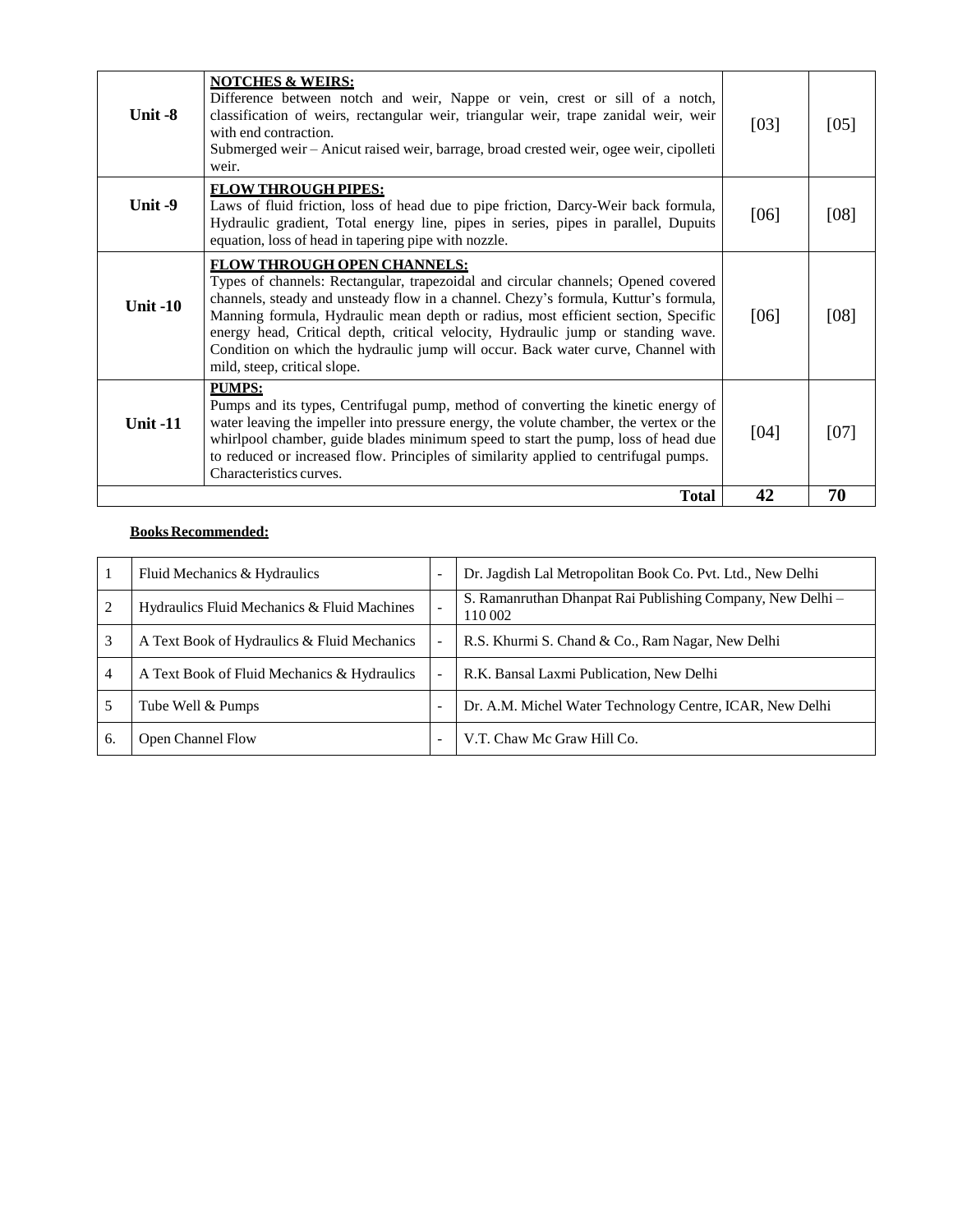|                 | to reduced or increased flow. Principles of similarity applied to centrifugal pumps.<br>Characteristics curves.<br><b>Total</b>                                                                                                                                                                                                                                                                                                                                                                             | 42   | 70   |
|-----------------|-------------------------------------------------------------------------------------------------------------------------------------------------------------------------------------------------------------------------------------------------------------------------------------------------------------------------------------------------------------------------------------------------------------------------------------------------------------------------------------------------------------|------|------|
| Unit $-11$      | <b>PUMPS:</b><br>Pumps and its types, Centrifugal pump, method of converting the kinetic energy of<br>water leaving the impeller into pressure energy, the volute chamber, the vertex or the<br>whirlpool chamber, guide blades minimum speed to start the pump, loss of head due                                                                                                                                                                                                                           | [04] | 1071 |
| <b>Unit -10</b> | <b>FLOW THROUGH OPEN CHANNELS:</b><br>Types of channels: Rectangular, trapezoidal and circular channels; Opened covered<br>channels, steady and unsteady flow in a channel. Chezy's formula, Kuttur's formula,<br>Manning formula, Hydraulic mean depth or radius, most efficient section, Specific<br>energy head, Critical depth, critical velocity, Hydraulic jump or standing wave.<br>Condition on which the hydraulic jump will occur. Back water curve, Channel with<br>mild, steep, critical slope. | [06] | [08] |
| Unit -9         | <b>FLOW THROUGH PIPES:</b><br>Laws of fluid friction, loss of head due to pipe friction, Darcy-Weir back formula,<br>Hydraulic gradient, Total energy line, pipes in series, pipes in parallel, Dupuits<br>equation, loss of head in tapering pipe with nozzle.                                                                                                                                                                                                                                             | [06] | [08] |
| Unit -8         | <b>NOTCHES &amp; WEIRS:</b><br>Difference between notch and weir, Nappe or vein, crest or sill of a notch,<br>classification of weirs, rectangular weir, triangular weir, trape zanidal weir, weir<br>with end contraction.<br>Submerged weir – Anicut raised weir, barrage, broad crested weir, ogee weir, cipolleti<br>weir.                                                                                                                                                                              | [03] | [05] |

|                | Fluid Mechanics & Hydraulics                | Dr. Jagdish Lal Metropolitan Book Co. Pvt. Ltd., New Delhi            |
|----------------|---------------------------------------------|-----------------------------------------------------------------------|
|                | Hydraulics Fluid Mechanics & Fluid Machines | S. Ramanruthan Dhanpat Rai Publishing Company, New Delhi –<br>110 002 |
| 3              | A Text Book of Hydraulics & Fluid Mechanics | R.S. Khurmi S. Chand & Co., Ram Nagar, New Delhi                      |
| $\overline{4}$ | A Text Book of Fluid Mechanics & Hydraulics | R.K. Bansal Laxmi Publication, New Delhi                              |
|                | Tube Well & Pumps                           | Dr. A.M. Michel Water Technology Centre, ICAR, New Delhi              |
| 6.             | Open Channel Flow                           | V.T. Chaw Mc Graw Hill Co.                                            |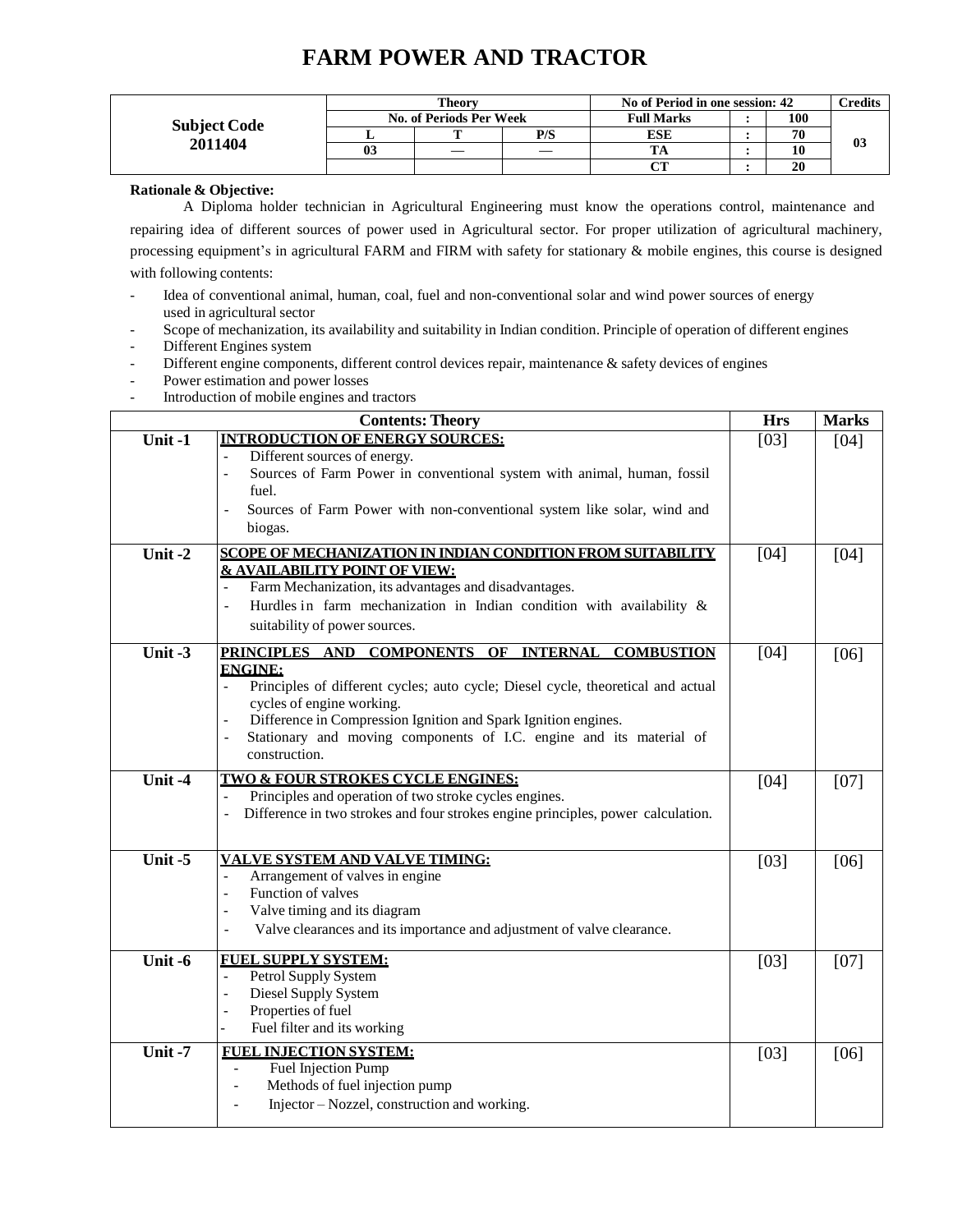# **FARM POWER AND TRACTOR**

|                     |    | Theorv                  |     | No of Period in one session: 42 |     | <b>Credits</b> |
|---------------------|----|-------------------------|-----|---------------------------------|-----|----------------|
| <b>Subject Code</b> |    | No. of Periods Per Week |     | <b>Full Marks</b>               | 100 |                |
|                     |    | m                       | P/S | ESE                             | 70  | 0 <sub>3</sub> |
| 2011404             | U3 | —                       |     |                                 |     |                |
|                     |    |                         |     | $\alpha$ tt                     | 20  |                |

**Rationale & Objective:**

A Diploma holder technician in Agricultural Engineering must know the operations control, maintenance and repairing idea of different sources of power used in Agricultural sector. For proper utilization of agricultural machinery, processing equipment's in agricultural FARM and FIRM with safety for stationary & mobile engines, this course is designed with following contents:

- Idea of conventional animal, human, coal, fuel and non-conventional solar and wind power sources of energy used in agricultural sector
- Scope of mechanization, its availability and suitability in Indian condition. Principle of operation of different engines
- Different Engines system
- Different engine components, different control devices repair, maintenance & safety devices of engines
- Power estimation and power losses
- Introduction of mobile engines and tractors

|           | <b>Contents: Theory</b>                                                                                                                                                                                                                                                                                                                                                   | <b>Hrs</b> | <b>Marks</b> |
|-----------|---------------------------------------------------------------------------------------------------------------------------------------------------------------------------------------------------------------------------------------------------------------------------------------------------------------------------------------------------------------------------|------------|--------------|
| Unit-1    | <b>INTRODUCTION OF ENERGY SOURCES:</b><br>Different sources of energy.<br>Sources of Farm Power in conventional system with animal, human, fossil<br>$\overline{a}$<br>fuel.<br>Sources of Farm Power with non-conventional system like solar, wind and<br>$\overline{a}$<br>biogas.                                                                                      | $[03]$     | [04]         |
| Unit-2    | SCOPE OF MECHANIZATION IN INDIAN CONDITION FROM SUITABILITY<br><b>&amp; AVAILABILITY POINT OF VIEW:</b><br>Farm Mechanization, its advantages and disadvantages.<br>Hurdles in farm mechanization in Indian condition with availability $\&$<br>$\overline{a}$<br>suitability of power sources.                                                                           | $[04]$     | [04]         |
| Unit $-3$ | PRINCIPLES AND COMPONENTS OF INTERNAL<br><b>COMBUSTION</b><br><b>ENGINE:</b><br>Principles of different cycles; auto cycle; Diesel cycle, theoretical and actual<br>cycles of engine working.<br>Difference in Compression Ignition and Spark Ignition engines.<br>Stationary and moving components of I.C. engine and its material of<br>$\overline{a}$<br>construction. | [04]       | [06]         |
| Unit -4   | <b>TWO &amp; FOUR STROKES CYCLE ENGINES:</b><br>Principles and operation of two stroke cycles engines.<br>Difference in two strokes and four strokes engine principles, power calculation.<br>$\blacksquare$                                                                                                                                                              | $[04]$     | $[07]$       |
| Unit-5    | <b>VALVE SYSTEM AND VALVE TIMING:</b><br>Arrangement of valves in engine<br>Function of valves<br>$\overline{a}$<br>Valve timing and its diagram<br>$\overline{a}$<br>Valve clearances and its importance and adjustment of valve clearance.<br>$\overline{\phantom{a}}$                                                                                                  | $[03]$     | [06]         |
| Unit -6   | <b>FUEL SUPPLY SYSTEM:</b><br>Petrol Supply System<br>$\overline{a}$<br>Diesel Supply System<br>$\overline{a}$<br>Properties of fuel<br>$\overline{a}$<br>Fuel filter and its working                                                                                                                                                                                     | $[03]$     | [07]         |
| Unit -7   | <b>FUEL INJECTION SYSTEM:</b><br>Fuel Injection Pump<br>Methods of fuel injection pump<br>$\overline{\phantom{a}}$<br>Injector – Nozzel, construction and working.                                                                                                                                                                                                        | [03]       | [06]         |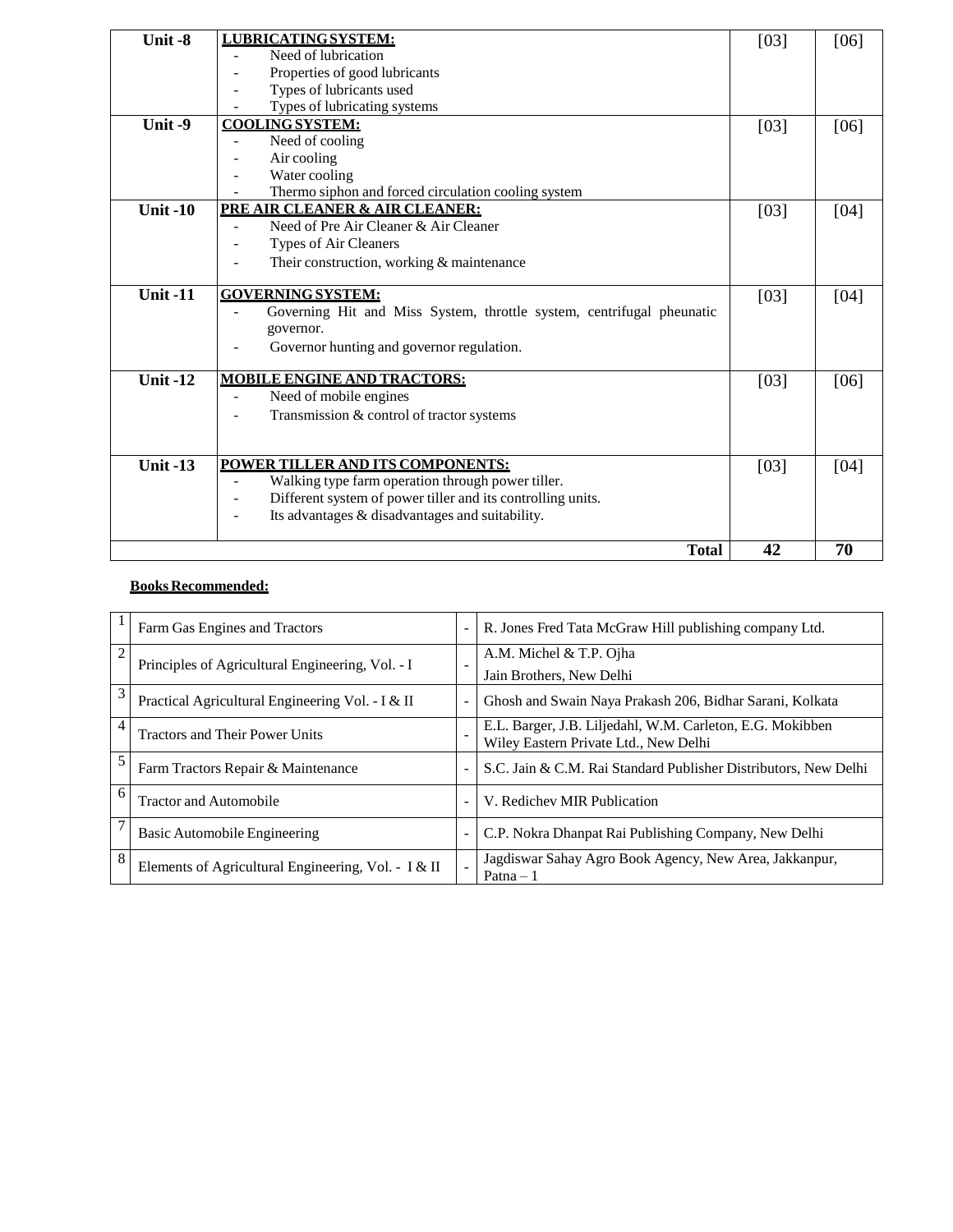| Unit-8          | <b>LUBRICATING SYSTEM:</b>                                                              | $[03]$ | [06] |
|-----------------|-----------------------------------------------------------------------------------------|--------|------|
|                 | Need of lubrication                                                                     |        |      |
|                 | Properties of good lubricants                                                           |        |      |
|                 | Types of lubricants used                                                                |        |      |
|                 | Types of lubricating systems                                                            |        |      |
| Unit -9         | <b>COOLING SYSTEM:</b>                                                                  | [03]   | [06] |
|                 | Need of cooling                                                                         |        |      |
|                 | Air cooling                                                                             |        |      |
|                 | Water cooling                                                                           |        |      |
|                 | Thermo siphon and forced circulation cooling system                                     |        |      |
| Unit $-10$      | PRE AIR CLEANER & AIR CLEANER:                                                          | $[03]$ | [04] |
|                 | Need of Pre Air Cleaner & Air Cleaner                                                   |        |      |
|                 | Types of Air Cleaners                                                                   |        |      |
|                 | Their construction, working & maintenance                                               |        |      |
|                 |                                                                                         |        |      |
| <b>Unit -11</b> | <b>GOVERNING SYSTEM:</b>                                                                | $[03]$ | [04] |
|                 | Governing Hit and Miss System, throttle system, centrifugal pheunatic                   |        |      |
|                 | governor.                                                                               |        |      |
|                 | Governor hunting and governor regulation.                                               |        |      |
|                 |                                                                                         |        |      |
| Unit $-12$      | <b>MOBILE ENGINE AND TRACTORS:</b>                                                      | [03]   | [06] |
|                 | Need of mobile engines                                                                  |        |      |
|                 | Transmission & control of tractor systems                                               |        |      |
|                 |                                                                                         |        |      |
|                 |                                                                                         |        |      |
| <b>Unit -13</b> | POWER TILLER AND ITS COMPONENTS:                                                        | $[03]$ | [04] |
|                 | Walking type farm operation through power tiller.                                       |        |      |
|                 | Different system of power tiller and its controlling units.<br>$\overline{\phantom{a}}$ |        |      |
|                 | Its advantages & disadvantages and suitability.<br>$\overline{\phantom{a}}$             |        |      |
|                 |                                                                                         |        |      |
|                 | <b>Total</b>                                                                            | 42     | 70   |

|                | Farm Gas Engines and Tractors                       |                          | R. Jones Fred Tata McGraw Hill publishing company Ltd.                                             |
|----------------|-----------------------------------------------------|--------------------------|----------------------------------------------------------------------------------------------------|
| $\overline{c}$ | Principles of Agricultural Engineering, Vol. - I    |                          | A.M. Michel & T.P. Ojha<br>Jain Brothers, New Delhi                                                |
| 3              | Practical Agricultural Engineering Vol. - I & II    | $\overline{\phantom{a}}$ | Ghosh and Swain Naya Prakash 206, Bidhar Sarani, Kolkata                                           |
|                | <b>Tractors and Their Power Units</b>               |                          | E.L. Barger, J.B. Liljedahl, W.M. Carleton, E.G. Mokibben<br>Wiley Eastern Private Ltd., New Delhi |
|                | Farm Tractors Repair & Maintenance                  |                          | S.C. Jain & C.M. Rai Standard Publisher Distributors, New Delhi                                    |
| 6              | <b>Tractor and Automobile</b>                       | $\overline{\phantom{a}}$ | V. Redichev MIR Publication                                                                        |
|                | Basic Automobile Engineering                        | $\overline{\phantom{a}}$ | C.P. Nokra Dhanpat Rai Publishing Company, New Delhi                                               |
| 8              | Elements of Agricultural Engineering, Vol. - I & II |                          | Jagdiswar Sahay Agro Book Agency, New Area, Jakkanpur,<br>$Patna - 1$                              |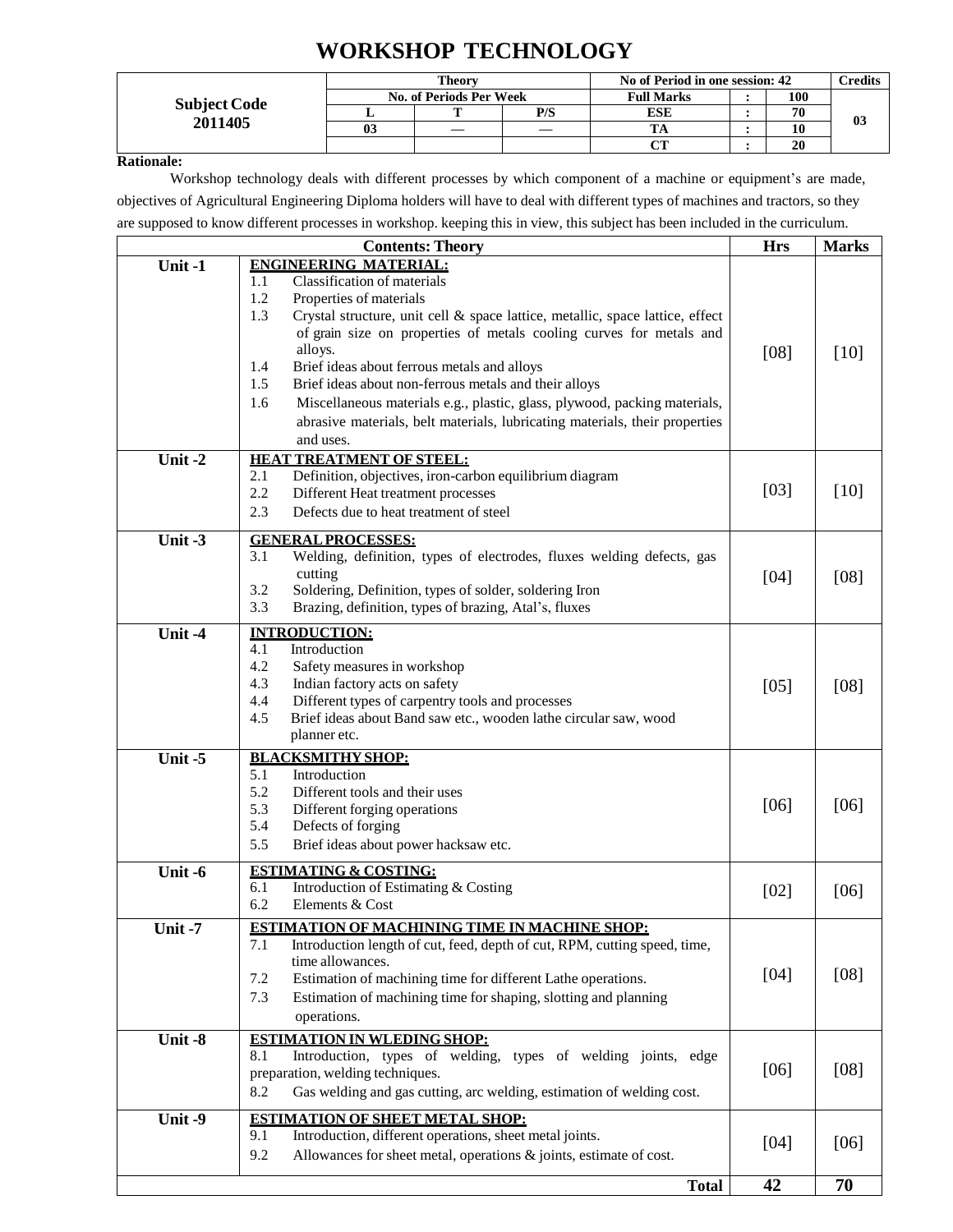# **WORKSHOP TECHNOLOGY**

|                     |    | <b>Theory</b>           |     | No of Period in one session: 42 |     | $\gamma$ redits |
|---------------------|----|-------------------------|-----|---------------------------------|-----|-----------------|
| <b>Subject Code</b> |    | No. of Periods Per Week |     | <b>Full Marks</b>               | 100 |                 |
| 2011405             |    |                         | P/S | ESE                             | 70  | 0 <sup>3</sup>  |
|                     | 03 |                         |     |                                 |     |                 |
|                     |    |                         |     | $\sim$                          | 20  |                 |

#### **Rationale:**

Workshop technology deals with different processes by which component of a machine or equipment's are made, objectives of Agricultural Engineering Diploma holders will have to deal with different types of machines and tractors, so they are supposed to know different processes in workshop. keeping this in view, this subject has been included in the curriculum.

|         | <b>Contents: Theory</b>                                                                                                                                                                                                                                                                                                                                                                                                                                                                                                                                                              | <b>Hrs</b> | <b>Marks</b>    |
|---------|--------------------------------------------------------------------------------------------------------------------------------------------------------------------------------------------------------------------------------------------------------------------------------------------------------------------------------------------------------------------------------------------------------------------------------------------------------------------------------------------------------------------------------------------------------------------------------------|------------|-----------------|
| Unit-1  | <b>ENGINEERING MATERIAL:</b><br>Classification of materials<br>1.1<br>1.2<br>Properties of materials<br>1.3<br>Crystal structure, unit cell & space lattice, metallic, space lattice, effect<br>of grain size on properties of metals cooling curves for metals and<br>alloys.<br>Brief ideas about ferrous metals and alloys<br>1.4<br>1.5<br>Brief ideas about non-ferrous metals and their alloys<br>Miscellaneous materials e.g., plastic, glass, plywood, packing materials,<br>1.6<br>abrasive materials, belt materials, lubricating materials, their properties<br>and uses. | [08]       | [10]            |
| Unit-2  | <b>HEAT TREATMENT OF STEEL:</b><br>2.1<br>Definition, objectives, iron-carbon equilibrium diagram<br>2.2<br>Different Heat treatment processes<br>2.3<br>Defects due to heat treatment of steel                                                                                                                                                                                                                                                                                                                                                                                      | [03]       | $[10]$          |
| Unit-3  | <b>GENERAL PROCESSES:</b><br>3.1<br>Welding, definition, types of electrodes, fluxes welding defects, gas<br>cutting<br>3.2<br>Soldering, Definition, types of solder, soldering Iron<br>3.3<br>Brazing, definition, types of brazing, Atal's, fluxes                                                                                                                                                                                                                                                                                                                                | [04]       | [08]            |
| Unit -4 | <b>INTRODUCTION:</b><br>4.1<br>Introduction<br>4.2<br>Safety measures in workshop<br>4.3<br>Indian factory acts on safety<br>4.4<br>Different types of carpentry tools and processes<br>4.5<br>Brief ideas about Band saw etc., wooden lathe circular saw, wood<br>planner etc.                                                                                                                                                                                                                                                                                                      | [05]       | [08]            |
| Unit-5  | <b>BLACKSMITHY SHOP:</b><br>5.1<br>Introduction<br>5.2<br>Different tools and their uses<br>5.3<br>Different forging operations<br>5.4<br>Defects of forging<br>5.5<br>Brief ideas about power hacksaw etc.                                                                                                                                                                                                                                                                                                                                                                          | [06]       | [06]            |
| Unit-6  | <b>ESTIMATING &amp; COSTING:</b><br>6.1<br>Introduction of Estimating & Costing<br>6.2<br>Elements & Cost                                                                                                                                                                                                                                                                                                                                                                                                                                                                            | [02]       | [06]            |
| Unit-7  | <b>ESTIMATION OF MACHINING TIME IN MACHINE SHOP:</b><br>Introduction length of cut, feed, depth of cut, RPM, cutting speed, time,<br>7.1<br>time allowances.<br>7.2<br>Estimation of machining time for different Lathe operations.<br>7.3<br>Estimation of machining time for shaping, slotting and planning<br>operations.                                                                                                                                                                                                                                                         | $[04]$     | [08]            |
| Unit-8  | <b>ESTIMATION IN WLEDING SHOP:</b><br>Introduction, types of welding, types of welding joints, edge<br>8.1<br>preparation, welding techniques.<br>8.2<br>Gas welding and gas cutting, arc welding, estimation of welding cost.                                                                                                                                                                                                                                                                                                                                                       | [06]       | [08]            |
| Unit-9  | <b>ESTIMATION OF SHEET METAL SHOP:</b><br>Introduction, different operations, sheet metal joints.<br>9.1<br>9.2<br>Allowances for sheet metal, operations & joints, estimate of cost.                                                                                                                                                                                                                                                                                                                                                                                                | [04]       | [06]            |
|         | <b>Total</b>                                                                                                                                                                                                                                                                                                                                                                                                                                                                                                                                                                         | 42         | $\overline{70}$ |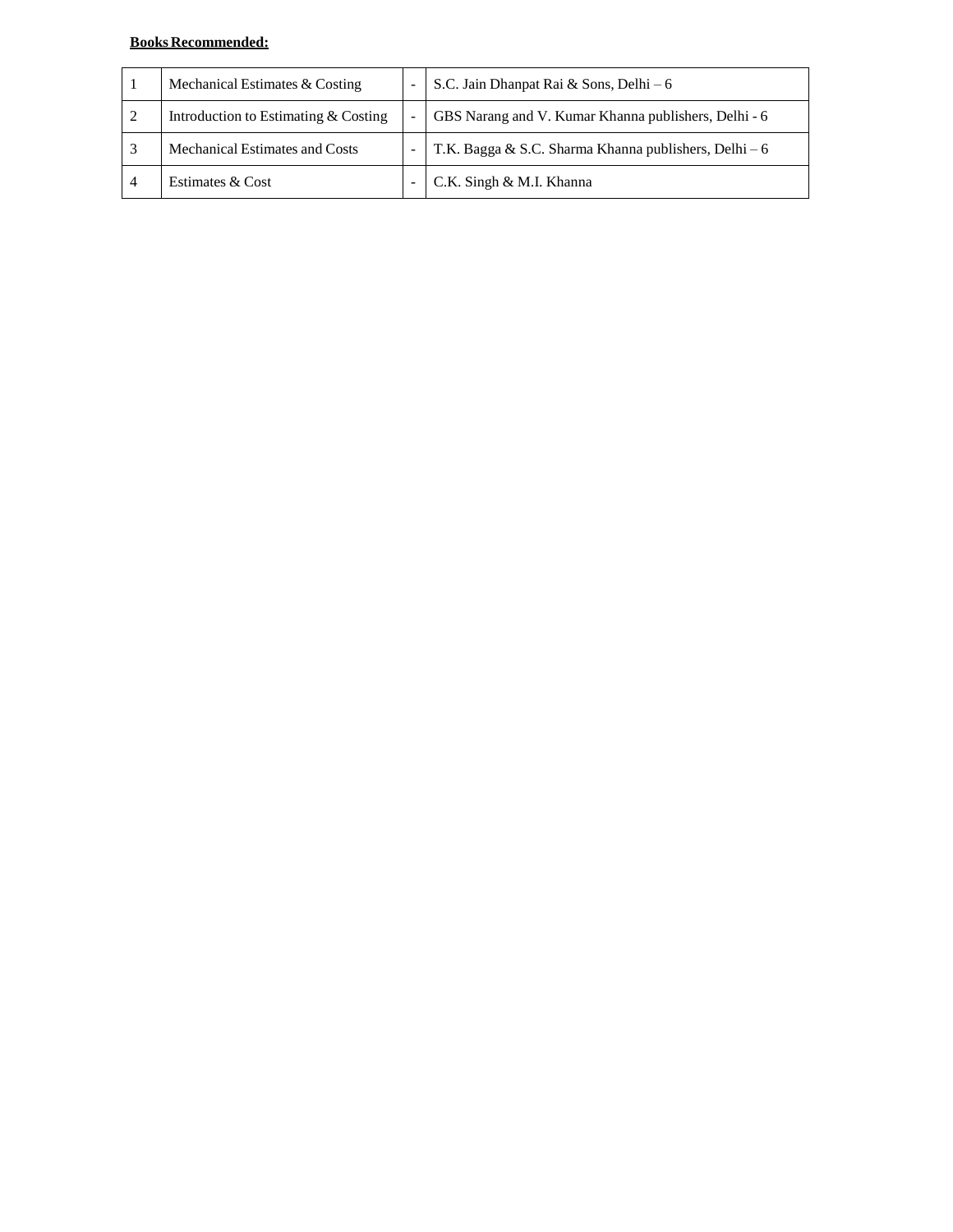| Mechanical Estimates & Costing       |   | S.C. Jain Dhanpat Rai & Sons, Delhi – 6               |
|--------------------------------------|---|-------------------------------------------------------|
| Introduction to Estimating & Costing | - | GBS Narang and V. Kumar Khanna publishers, Delhi - 6  |
| Mechanical Estimates and Costs       |   | T.K. Bagga & S.C. Sharma Khanna publishers, Delhi – 6 |
| Estimates & Cost                     |   | C.K. Singh & M.I. Khanna                              |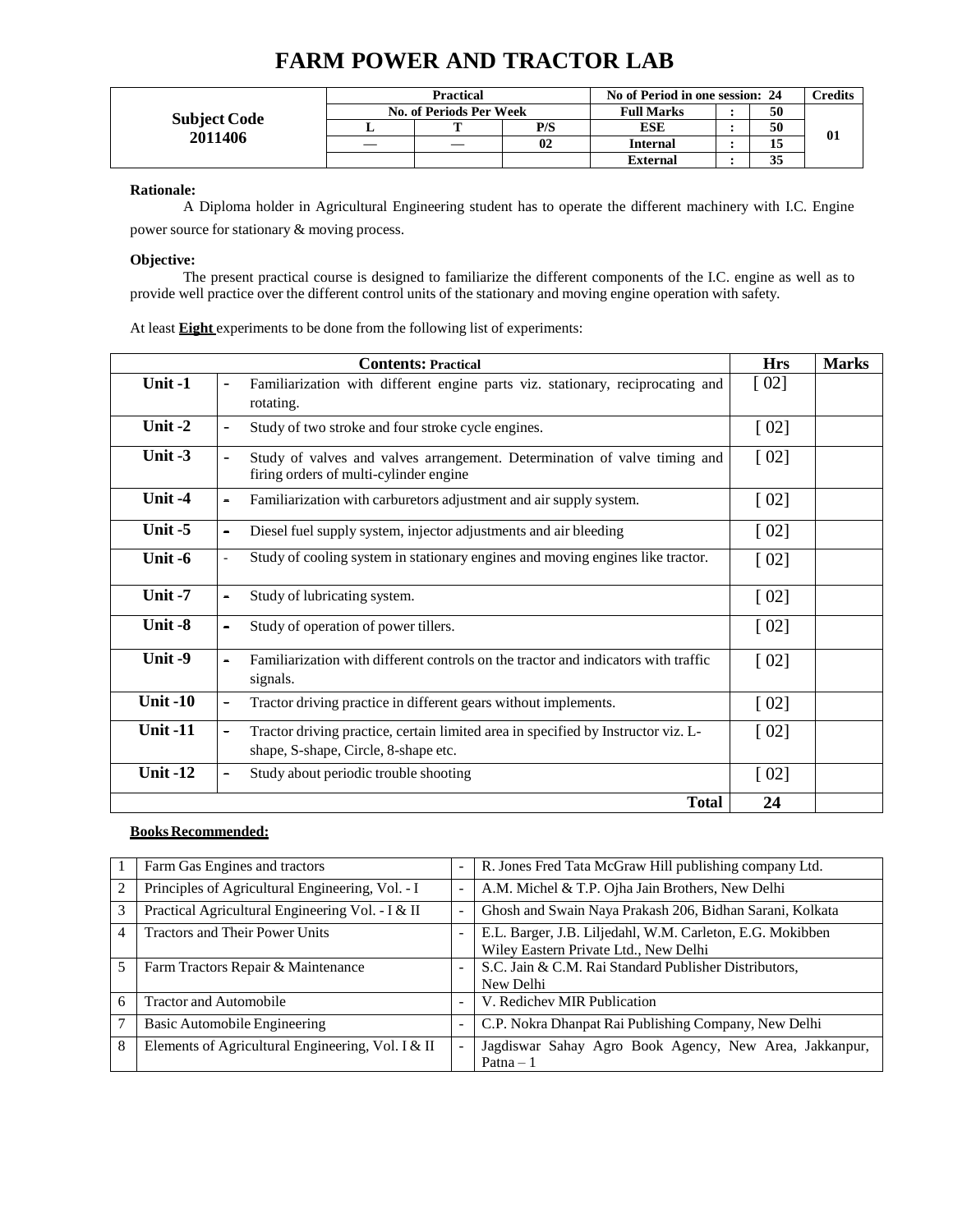|                     | Practical               |     | No of Period in one session: 24 |    | <b>Tredits</b> |
|---------------------|-------------------------|-----|---------------------------------|----|----------------|
| <b>Subject Code</b> | No. of Periods Per Week |     | <b>Full Marks</b>               | 50 |                |
|                     |                         | P/S | ESE                             | 50 |                |
| 2011406             |                         | 02  | <b>Internal</b>                 |    | 01             |
|                     |                         |     | <b>External</b>                 |    |                |

## **FARM POWER AND TRACTOR LAB**

**Rationale:**

A Diploma holder in Agricultural Engineering student has to operate the different machinery with I.C. Engine power source for stationary & moving process.

#### **Objective:**

The present practical course is designed to familiarize the different components of the I.C. engine as well as to provide well practice over the different control units of the stationary and moving engine operation with safety.

At least **Eight** experiments to be done from the following list of experiments:

|                 | <b>Contents: Practical</b>                                                                                                                      | <b>Hrs</b>         | <b>Marks</b> |
|-----------------|-------------------------------------------------------------------------------------------------------------------------------------------------|--------------------|--------------|
| Unit-1          | Familiarization with different engine parts viz. stationary, reciprocating and<br>$\qquad \qquad \blacksquare$<br>rotating.                     | [02]               |              |
| Unit-2          | Study of two stroke and four stroke cycle engines.<br>$\overline{\phantom{0}}$                                                                  | $\lceil 02 \rceil$ |              |
| Unit -3         | Study of valves and valves arrangement. Determination of valve timing and<br>$\overline{\phantom{0}}$<br>firing orders of multi-cylinder engine | [02]               |              |
| Unit-4          | Familiarization with carburetors adjustment and air supply system.<br>$\overline{\phantom{0}}$                                                  | $\lceil 02 \rceil$ |              |
| Unit $-5$       | Diesel fuel supply system, injector adjustments and air bleeding<br>$\overline{\phantom{0}}$                                                    | [02]               |              |
| Unit -6         | Study of cooling system in stationary engines and moving engines like tractor.<br>÷.                                                            | $\lceil 02 \rceil$ |              |
| Unit-7          | Study of lubricating system.<br>$\overline{\phantom{a}}$                                                                                        | $\lceil 02 \rceil$ |              |
| Unit-8          | Study of operation of power tillers.<br>$\overline{\phantom{0}}$                                                                                | $\lceil 02 \rceil$ |              |
| Unit-9          | Familiarization with different controls on the tractor and indicators with traffic<br>$\overline{\phantom{a}}$<br>signals.                      | $\lceil 02 \rceil$ |              |
| <b>Unit -10</b> | Tractor driving practice in different gears without implements.<br>-                                                                            | [02]               |              |
| <b>Unit -11</b> | Tractor driving practice, certain limited area in specified by Instructor viz. L-<br>۰<br>shape, S-shape, Circle, 8-shape etc.                  | $\lceil 02 \rceil$ |              |
| <b>Unit -12</b> | Study about periodic trouble shooting<br>-                                                                                                      | [02]               |              |
|                 | <b>Total</b>                                                                                                                                    | 24                 |              |

|                | Farm Gas Engines and tractors                     | Ē, | R. Jones Fred Tata McGraw Hill publishing company Ltd.                                             |
|----------------|---------------------------------------------------|----|----------------------------------------------------------------------------------------------------|
| $\overline{c}$ | Principles of Agricultural Engineering, Vol. - I  | L, | A.M. Michel & T.P. Ojha Jain Brothers, New Delhi                                                   |
| 3              | Practical Agricultural Engineering Vol. - I & II  | L, | Ghosh and Swain Naya Prakash 206, Bidhan Sarani, Kolkata                                           |
| 4              | <b>Tractors and Their Power Units</b>             | L, | E.L. Barger, J.B. Liljedahl, W.M. Carleton, E.G. Mokibben<br>Wiley Eastern Private Ltd., New Delhi |
|                | Farm Tractors Repair & Maintenance                |    | S.C. Jain & C.M. Rai Standard Publisher Distributors,<br>New Delhi                                 |
| 6              | <b>Tractor and Automobile</b>                     | ٠  | V. Redichev MIR Publication                                                                        |
|                | Basic Automobile Engineering                      | -  | C.P. Nokra Dhanpat Rai Publishing Company, New Delhi                                               |
| 8              | Elements of Agricultural Engineering, Vol. I & II | L. | Jagdiswar Sahay Agro Book Agency, New Area, Jakkanpur,<br>Patna $-1$                               |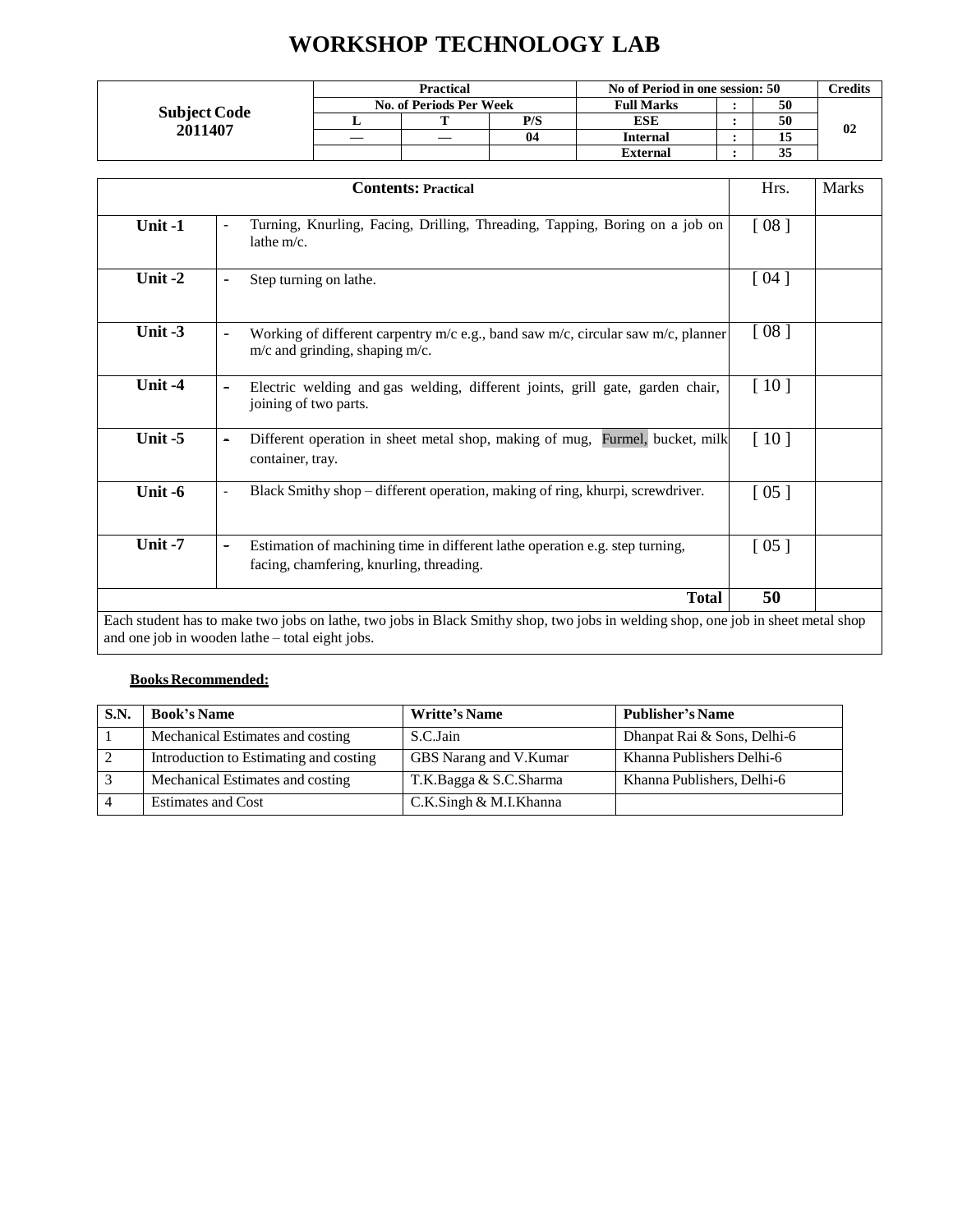# **WORKSHOP TECHNOLOGY LAB**

|                     |                         | <b>Practical</b> |     | No of Period in one session: 50 |  |    | <b>Predits</b> |  |
|---------------------|-------------------------|------------------|-----|---------------------------------|--|----|----------------|--|
| <b>Subject Code</b> | No. of Periods Per Week |                  |     | <b>Full Marks</b>               |  | 50 |                |  |
| 2011407             |                         | m                | P/S | ESE                             |  | 50 | 02             |  |
|                     | __                      |                  | 04  | <b>Internal</b>                 |  | 15 |                |  |
|                     |                         |                  |     | External                        |  | 35 |                |  |

|           | <b>Contents: Practical</b>                                                                                                                                  | Hrs.               | <b>Marks</b> |
|-----------|-------------------------------------------------------------------------------------------------------------------------------------------------------------|--------------------|--------------|
| Unit-1    | Turning, Knurling, Facing, Drilling, Threading, Tapping, Boring on a job on<br>$\overline{\phantom{a}}$<br>lathe $m/c$ .                                    | [08]               |              |
| Unit-2    | Step turning on lathe.<br>$\overline{\phantom{a}}$                                                                                                          | [04]               |              |
| Unit $-3$ | Working of different carpentry $m/c$ e.g., band saw $m/c$ , circular saw $m/c$ , planner<br>$\overline{\phantom{0}}$<br>$m/c$ and grinding, shaping $m/c$ . | [08]               |              |
| Unit -4   | Electric welding and gas welding, different joints, grill gate, garden chair,<br>$\qquad \qquad$<br>joining of two parts.                                   | [10]               |              |
| Unit $-5$ | Different operation in sheet metal shop, making of mug, Furmel, bucket, milk<br>$\overline{\phantom{a}}$<br>container, tray.                                | [10]               |              |
| Unit -6   | Black Smithy shop - different operation, making of ring, khurpi, screwdriver.<br>$\overline{\phantom{a}}$                                                   | $\lceil 05 \rceil$ |              |
| Unit-7    | Estimation of machining time in different lathe operation e.g. step turning,<br>$\blacksquare$<br>facing, chamfering, knurling, threading.                  | [05]               |              |
|           | <b>Total</b>                                                                                                                                                | 50                 |              |

| S.N. | <b>Book's Name</b>                     | <b>Writte's Name</b>   | <b>Publisher's Name</b>     |
|------|----------------------------------------|------------------------|-----------------------------|
|      | Mechanical Estimates and costing       | S.C.Jain               | Dhanpat Rai & Sons, Delhi-6 |
|      | Introduction to Estimating and costing | GBS Narang and V.Kumar | Khanna Publishers Delhi-6   |
|      | Mechanical Estimates and costing       | T.K.Bagga & S.C.Sharma | Khanna Publishers, Delhi-6  |
|      | <b>Estimates and Cost</b>              | C.K.Singh & M.I.Khanna |                             |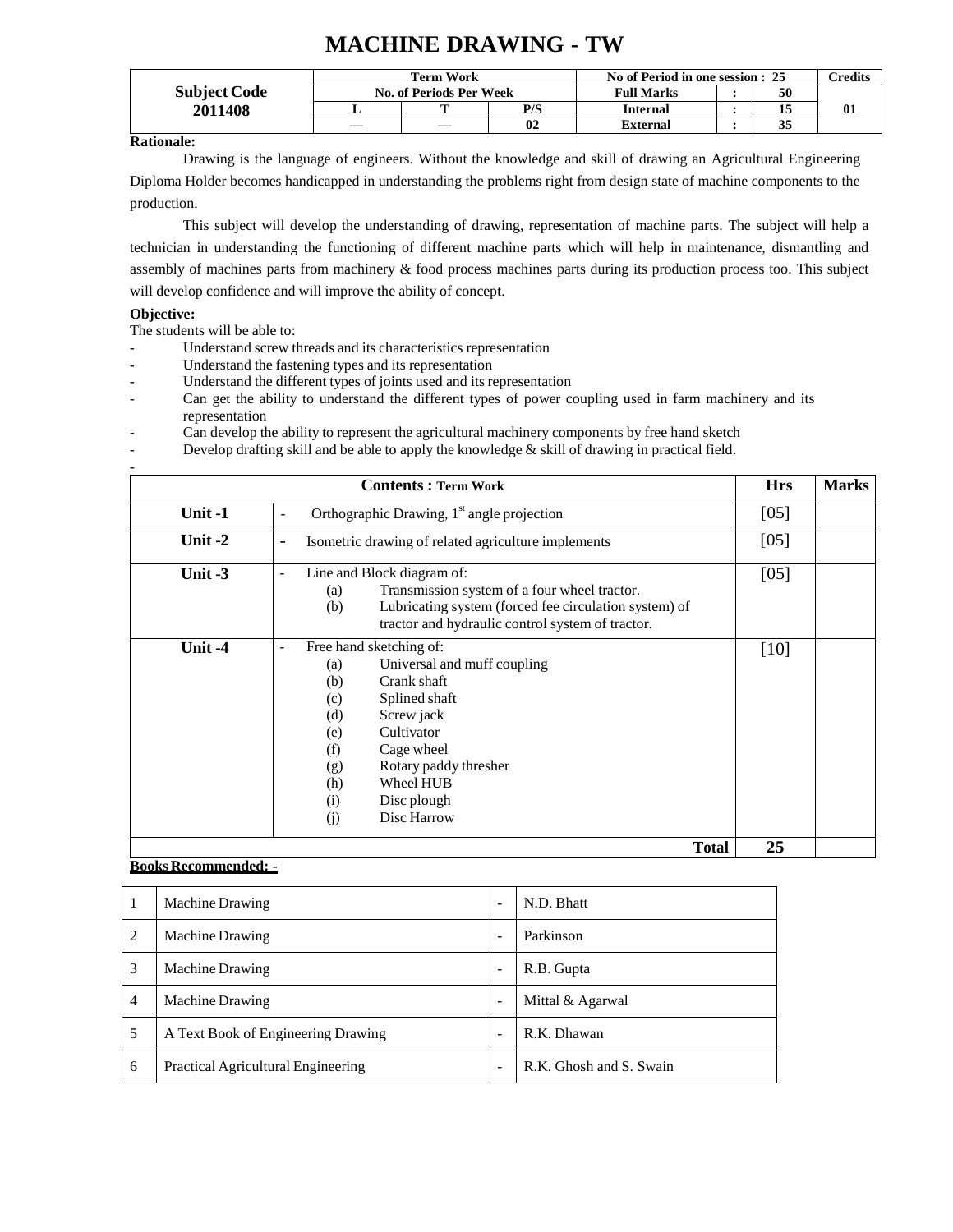## **MACHINE DRAWING - TW**

|                     |                         | <b>Term Work</b> |     | No of Period in one session : 25 | $C$ redits |    |
|---------------------|-------------------------|------------------|-----|----------------------------------|------------|----|
| <b>Subject Code</b> | No. of Periods Per Week |                  |     | <b>Full Marks</b>                | 50         |    |
| 2011408             |                         |                  | P/S | <b>Internal</b>                  |            | 01 |
|                     |                         |                  | 02  | External                         | JЭ         |    |

**Rationale:**

Drawing is the language of engineers. Without the knowledge and skill of drawing an Agricultural Engineering Diploma Holder becomes handicapped in understanding the problems right from design state of machine components to the production.

This subject will develop the understanding of drawing, representation of machine parts. The subject will help a technician in understanding the functioning of different machine parts which will help in maintenance, dismantling and assembly of machines parts from machinery & food process machines parts during its production process too. This subject will develop confidence and will improve the ability of concept.

#### **Objective:**

The students will be able to:

- Understand screw threads and its characteristics representation
- Understand the fastening types and its representation
- Understand the different types of joints used and its representation
- Can get the ability to understand the different types of power coupling used in farm machinery and its representation
- Can develop the ability to represent the agricultural machinery components by free hand sketch
- Develop drafting skill and be able to apply the knowledge & skill of drawing in practical field.

|           | <b>Hrs</b>                                                                                                                                                                                                                                                                                             | <b>Marks</b> |  |
|-----------|--------------------------------------------------------------------------------------------------------------------------------------------------------------------------------------------------------------------------------------------------------------------------------------------------------|--------------|--|
| Unit -1   | Orthographic Drawing, $1st$ angle projection<br>$\overline{\phantom{a}}$                                                                                                                                                                                                                               | [05]         |  |
| Unit $-2$ | Isometric drawing of related agriculture implements<br>$\overline{\phantom{a}}$                                                                                                                                                                                                                        | [05]         |  |
| Unit $-3$ | Line and Block diagram of:<br>$\overline{\phantom{a}}$<br>Transmission system of a four wheel tractor.<br>(a)<br>Lubricating system (forced fee circulation system) of<br>(b)<br>tractor and hydraulic control system of tractor.                                                                      | [05]         |  |
| Unit -4   | Free hand sketching of:<br>$\overline{\phantom{a}}$<br>Universal and muff coupling<br>(a)<br>Crank shaft<br>(b)<br>Splined shaft<br>(c)<br>Screw jack<br>(d)<br>Cultivator<br>(e)<br>(f)<br>Cage wheel<br>Rotary paddy thresher<br>(g)<br>Wheel HUB<br>(h)<br>Disc plough<br>(i)<br>Disc Harrow<br>(j) | $[10]$       |  |
|           | <b>Total</b>                                                                                                                                                                                                                                                                                           | 25           |  |

| $\mathbf{I}$   | Machine Drawing                    |                          | N.D. Bhatt              |
|----------------|------------------------------------|--------------------------|-------------------------|
| 2              | <b>Machine Drawing</b>             | $\overline{\phantom{0}}$ | Parkinson               |
| 3              | <b>Machine Drawing</b>             | $\overline{\phantom{0}}$ | R.B. Gupta              |
| $\overline{4}$ | Machine Drawing                    | ۰                        | Mittal & Agarwal        |
| 5              | A Text Book of Engineering Drawing | $\overline{\phantom{0}}$ | R.K. Dhawan             |
| 6              | Practical Agricultural Engineering | ۰                        | R.K. Ghosh and S. Swain |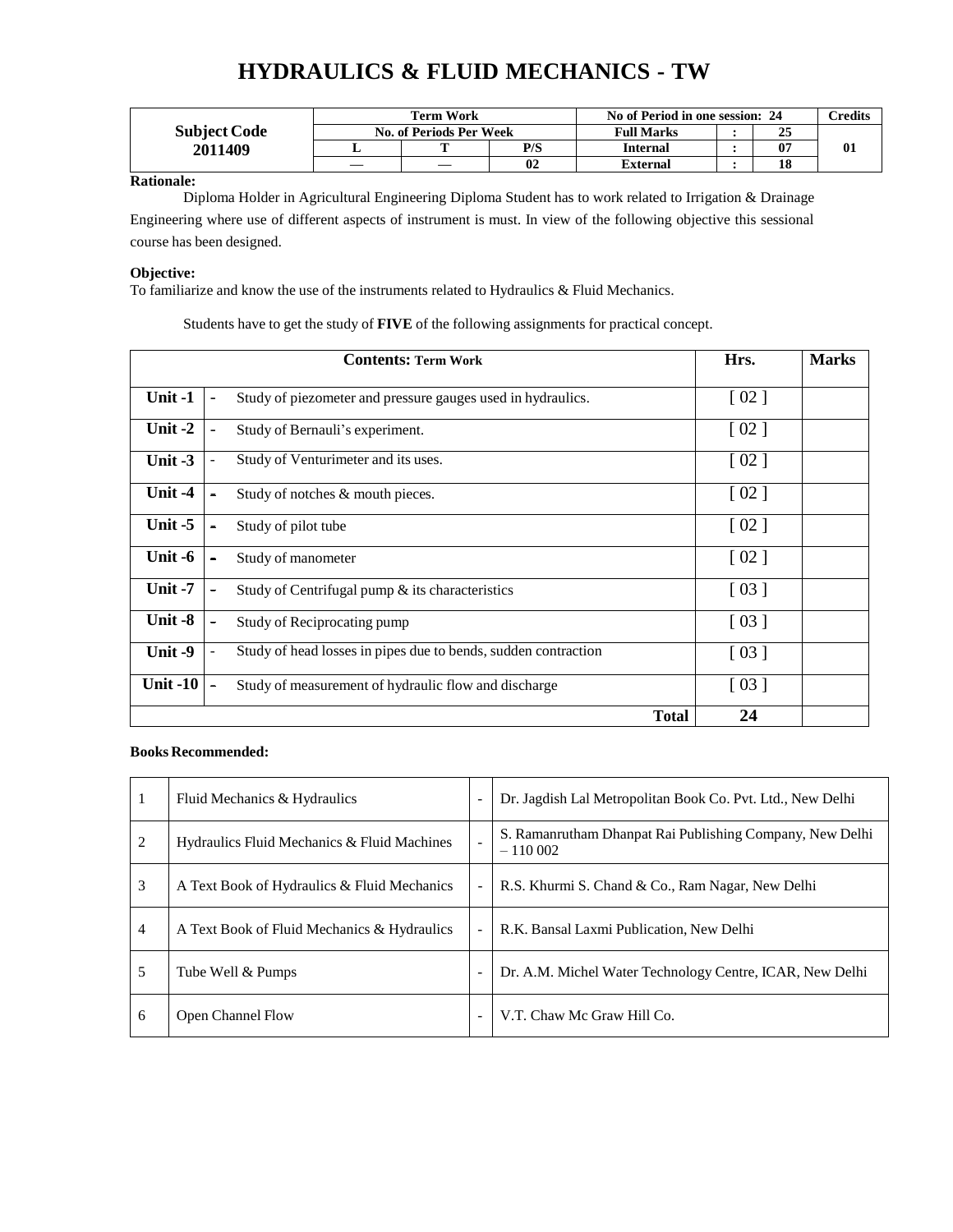# **HYDRAULICS & FLUID MECHANICS - TW**

|                     |                         | <b>Term Work</b> |     | No of Period in one session: 24 | $\gamma$ redits |  |
|---------------------|-------------------------|------------------|-----|---------------------------------|-----------------|--|
| <b>Subject Code</b> | No. of Periods Per Week |                  |     | <b>Full Marks</b>               | o F<br>43       |  |
| 2011409             |                         |                  | P/S | <b>Internal</b>                 | -07             |  |
|                     | __                      |                  | 02  | External                        | 10              |  |

#### **Rationale:**

Diploma Holder in Agricultural Engineering Diploma Student has to work related to Irrigation & Drainage Engineering where use of different aspects of instrument is must. In view of the following objective this sessional course has been designed.

#### **Objective:**

To familiarize and know the use of the instruments related to Hydraulics & Fluid Mechanics.

Students have to get the study of **FIVE** of the following assignments for practical concept.

|           | <b>Contents: Term Work</b>                                     | Hrs.               | <b>Marks</b> |
|-----------|----------------------------------------------------------------|--------------------|--------------|
| Unit -1   | Study of piezometer and pressure gauges used in hydraulics.    | $\lceil 02 \rceil$ |              |
| Unit $-2$ | Study of Bernauli's experiment.                                | $\lceil 02 \rceil$ |              |
| Unit-3    | Study of Venturimeter and its uses.                            | $\lceil 02 \rceil$ |              |
| Unit -4   | Study of notches & mouth pieces.                               | $\lceil 02 \rceil$ |              |
| Unit $-5$ | Study of pilot tube                                            | $\lceil 02 \rceil$ |              |
| Unit -6   | Study of manometer                                             | $\lceil 02 \rceil$ |              |
| Unit-7    | Study of Centrifugal pump & its characteristics                | $\lceil 03 \rceil$ |              |
| Unit -8   | Study of Reciprocating pump                                    | $\lceil 03 \rceil$ |              |
| Unit-9    | Study of head losses in pipes due to bends, sudden contraction | $\lceil 03 \rceil$ |              |
| Unit -10  | Study of measurement of hydraulic flow and discharge           | $\lceil 03 \rceil$ |              |
|           | <b>Total</b>                                                   | 24                 |              |

| 1              | Fluid Mechanics & Hydraulics                |                          | Dr. Jagdish Lal Metropolitan Book Co. Pvt. Ltd., New Delhi            |
|----------------|---------------------------------------------|--------------------------|-----------------------------------------------------------------------|
| 2              | Hydraulics Fluid Mechanics & Fluid Machines |                          | S. Ramanrutham Dhanpat Rai Publishing Company, New Delhi<br>$-110002$ |
| 3              | A Text Book of Hydraulics & Fluid Mechanics | $\overline{\phantom{a}}$ | R.S. Khurmi S. Chand & Co., Ram Nagar, New Delhi                      |
| $\overline{4}$ | A Text Book of Fluid Mechanics & Hydraulics | ÷,                       | R.K. Bansal Laxmi Publication, New Delhi                              |
| 5              | Tube Well & Pumps                           |                          | Dr. A.M. Michel Water Technology Centre, ICAR, New Delhi              |
| 6              | <b>Open Channel Flow</b>                    | ٠                        | V.T. Chaw Mc Graw Hill Co.                                            |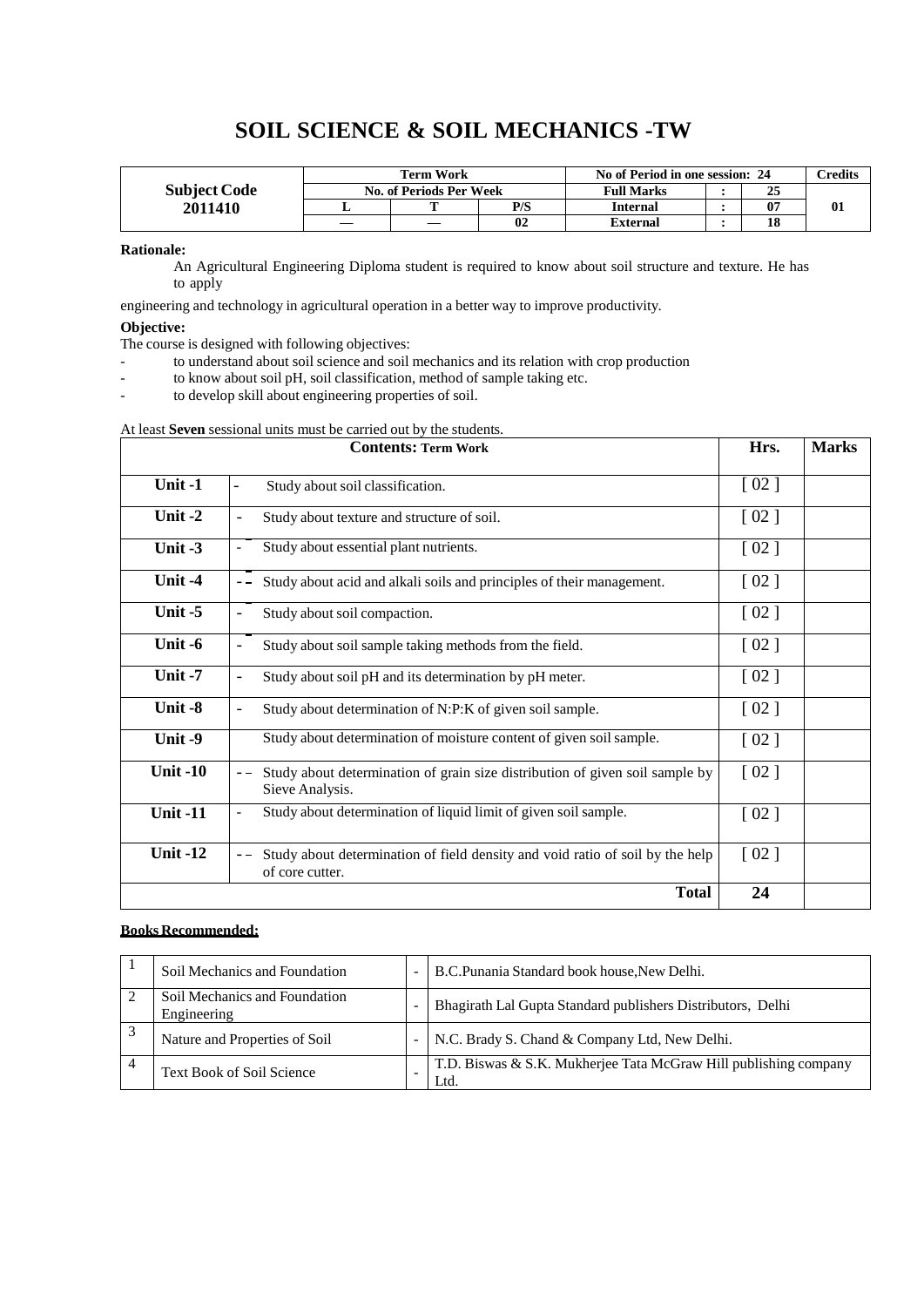# **SOIL SCIENCE & SOIL MECHANICS -TW**

|                     |                         | Term Work |     | No of Period in one session: 24 | $\gamma$ redits |  |
|---------------------|-------------------------|-----------|-----|---------------------------------|-----------------|--|
| <b>Subject Code</b> | No. of Periods Per Week |           |     | <b>Full Marks</b>               | 43              |  |
| 2011410             |                         | m         | P/S | <b>Internal</b>                 | 07              |  |
|                     |                         |           | 02  | <b>External</b>                 | 10              |  |

**Rationale:**

An Agricultural Engineering Diploma student is required to know about soil structure and texture. He has to apply

engineering and technology in agricultural operation in a better way to improve productivity.

#### **Objective:**

The course is designed with following objectives:

- to understand about soil science and soil mechanics and its relation with crop production
- to know about soil pH, soil classification, method of sample taking etc.
- to develop skill about engineering properties of soil.

| At least Seven sessional units must be carried out by the students. |  |  |  |
|---------------------------------------------------------------------|--|--|--|
|                                                                     |  |  |  |

|                 | <b>Contents: Term Work</b>                                                                       |                    |  |  |  |  |
|-----------------|--------------------------------------------------------------------------------------------------|--------------------|--|--|--|--|
| Unit-1          | Study about soil classification.<br>-                                                            | [02]               |  |  |  |  |
| Unit $-2$       | Study about texture and structure of soil.<br>-                                                  | [02]               |  |  |  |  |
| Unit $-3$       | Study about essential plant nutrients.<br>$\overline{\phantom{0}}$                               | $\lceil 02 \rceil$ |  |  |  |  |
| Unit -4         | Study about acid and alkali soils and principles of their management.                            | [02]               |  |  |  |  |
| Unit $-5$       | Study about soil compaction.                                                                     | [02]               |  |  |  |  |
| Unit -6         | Study about soil sample taking methods from the field.                                           | [02]               |  |  |  |  |
| Unit $-7$       | Study about soil pH and its determination by pH meter.<br>$\qquad \qquad -$                      | [02]               |  |  |  |  |
| Unit -8         | Study about determination of N:P:K of given soil sample.<br>$\overline{\phantom{0}}$             | [02]               |  |  |  |  |
| Unit -9         | Study about determination of moisture content of given soil sample.                              | $\lceil 02 \rceil$ |  |  |  |  |
| <b>Unit -10</b> | Study about determination of grain size distribution of given soil sample by<br>Sieve Analysis.  | [02]               |  |  |  |  |
| <b>Unit -11</b> | Study about determination of liquid limit of given soil sample.<br>$\overline{\phantom{0}}$      | [02]               |  |  |  |  |
| <b>Unit -12</b> | Study about determination of field density and void ratio of soil by the help<br>of core cutter. | [02]               |  |  |  |  |
|                 | <b>Total</b>                                                                                     | 24                 |  |  |  |  |

| Soil Mechanics and Foundation                | $\qquad \qquad \blacksquare$ | B.C.Punania Standard book house, New Delhi.                              |
|----------------------------------------------|------------------------------|--------------------------------------------------------------------------|
| Soil Mechanics and Foundation<br>Engineering | -                            | Bhagirath Lal Gupta Standard publishers Distributors, Delhi              |
| Nature and Properties of Soil                | $\overline{\phantom{0}}$     | N.C. Brady S. Chand & Company Ltd, New Delhi.                            |
| <b>Text Book of Soil Science</b>             |                              | T.D. Biswas & S.K. Mukherjee Tata McGraw Hill publishing company<br>Ltd. |